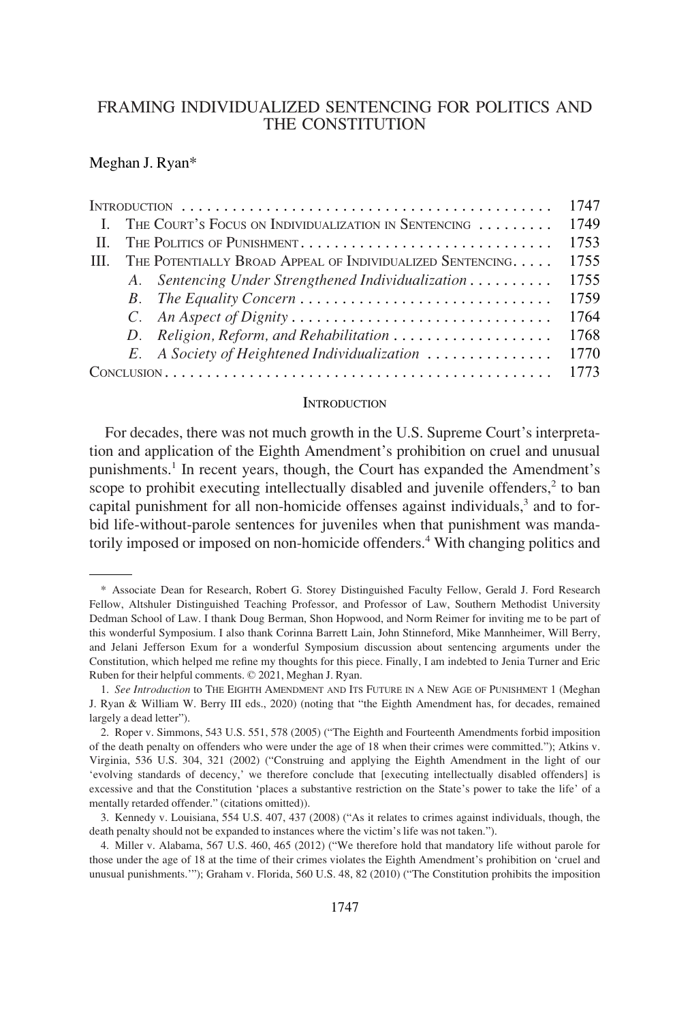# FRAMING INDIVIDUALIZED SENTENCING FOR POLITICS AND THE CONSTITUTION

#### Meghan J. Ryan\*

|  |  | 1747                                                      |      |
|--|--|-----------------------------------------------------------|------|
|  |  | I. THE COURT'S FOCUS ON INDIVIDUALIZATION IN SENTENCING   | 1749 |
|  |  | THE POLITICS OF PUNISHMENT                                | 1753 |
|  |  | THE POTENTIALLY BROAD APPEAL OF INDIVIDUALIZED SENTENCING | 1755 |
|  |  | A. Sentencing Under Strengthened Individualization        | 1755 |
|  |  |                                                           | 1759 |
|  |  | C. An Aspect of Dignity                                   | 1764 |
|  |  |                                                           | 1768 |
|  |  | E. A Society of Heightened Individualization              | 1770 |
|  |  |                                                           | 1773 |

### **INTRODUCTION**

For decades, there was not much growth in the U.S. Supreme Court's interpretation and application of the Eighth Amendment's prohibition on cruel and unusual punishments.<sup>1</sup> In recent years, though, the Court has expanded the Amendment's scope to prohibit executing intellectually disabled and juvenile offenders, $<sup>2</sup>$  to ban</sup> capital punishment for all non-homicide offenses against individuals,<sup>3</sup> and to forbid life-without-parole sentences for juveniles when that punishment was mandatorily imposed or imposed on non-homicide offenders.<sup>4</sup> With changing politics and

<sup>\*</sup> Associate Dean for Research, Robert G. Storey Distinguished Faculty Fellow, Gerald J. Ford Research Fellow, Altshuler Distinguished Teaching Professor, and Professor of Law, Southern Methodist University Dedman School of Law. I thank Doug Berman, Shon Hopwood, and Norm Reimer for inviting me to be part of this wonderful Symposium. I also thank Corinna Barrett Lain, John Stinneford, Mike Mannheimer, Will Berry, and Jelani Jefferson Exum for a wonderful Symposium discussion about sentencing arguments under the Constitution, which helped me refine my thoughts for this piece. Finally, I am indebted to Jenia Turner and Eric Ruben for their helpful comments. © 2021, Meghan J. Ryan.

<sup>1.</sup> *See Introduction* to THE EIGHTH AMENDMENT AND ITS FUTURE IN A NEW AGE OF PUNISHMENT 1 (Meghan J. Ryan & William W. Berry III eds., 2020) (noting that "the Eighth Amendment has, for decades, remained largely a dead letter").

<sup>2.</sup> Roper v. Simmons, 543 U.S. 551, 578 (2005) ("The Eighth and Fourteenth Amendments forbid imposition of the death penalty on offenders who were under the age of 18 when their crimes were committed."); Atkins v. Virginia, 536 U.S. 304, 321 (2002) ("Construing and applying the Eighth Amendment in the light of our 'evolving standards of decency,' we therefore conclude that [executing intellectually disabled offenders] is excessive and that the Constitution 'places a substantive restriction on the State's power to take the life' of a mentally retarded offender." (citations omitted)).

<sup>3.</sup> Kennedy v. Louisiana, 554 U.S. 407, 437 (2008) ("As it relates to crimes against individuals, though, the death penalty should not be expanded to instances where the victim's life was not taken.").

<sup>4.</sup> Miller v. Alabama, 567 U.S. 460, 465 (2012) ("We therefore hold that mandatory life without parole for those under the age of 18 at the time of their crimes violates the Eighth Amendment's prohibition on 'cruel and unusual punishments.'"); Graham v. Florida, 560 U.S. 48, 82 (2010) ("The Constitution prohibits the imposition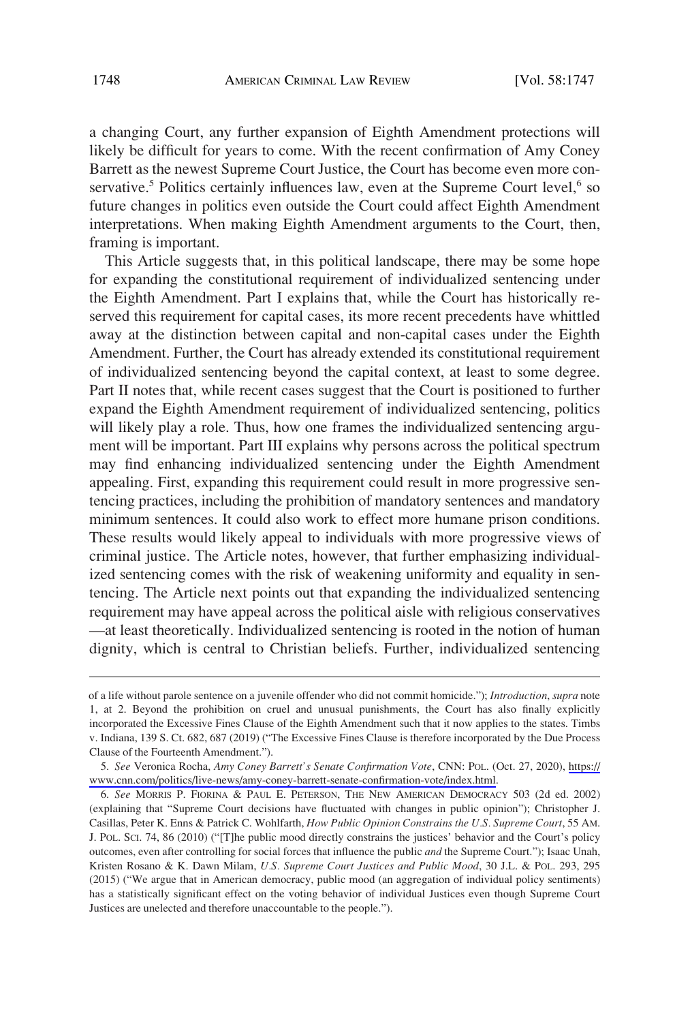a changing Court, any further expansion of Eighth Amendment protections will likely be difficult for years to come. With the recent confirmation of Amy Coney Barrett as the newest Supreme Court Justice, the Court has become even more conservative.<sup>5</sup> Politics certainly influences law, even at the Supreme Court level,<sup>6</sup> so future changes in politics even outside the Court could affect Eighth Amendment interpretations. When making Eighth Amendment arguments to the Court, then, framing is important.

This Article suggests that, in this political landscape, there may be some hope for expanding the constitutional requirement of individualized sentencing under the Eighth Amendment. Part I explains that, while the Court has historically reserved this requirement for capital cases, its more recent precedents have whittled away at the distinction between capital and non-capital cases under the Eighth Amendment. Further, the Court has already extended its constitutional requirement of individualized sentencing beyond the capital context, at least to some degree. Part II notes that, while recent cases suggest that the Court is positioned to further expand the Eighth Amendment requirement of individualized sentencing, politics will likely play a role. Thus, how one frames the individualized sentencing argument will be important. Part III explains why persons across the political spectrum may find enhancing individualized sentencing under the Eighth Amendment appealing. First, expanding this requirement could result in more progressive sentencing practices, including the prohibition of mandatory sentences and mandatory minimum sentences. It could also work to effect more humane prison conditions. These results would likely appeal to individuals with more progressive views of criminal justice. The Article notes, however, that further emphasizing individualized sentencing comes with the risk of weakening uniformity and equality in sentencing. The Article next points out that expanding the individualized sentencing requirement may have appeal across the political aisle with religious conservatives —at least theoretically. Individualized sentencing is rooted in the notion of human dignity, which is central to Christian beliefs. Further, individualized sentencing

of a life without parole sentence on a juvenile offender who did not commit homicide."); *Introduction*, *supra* note 1, at 2. Beyond the prohibition on cruel and unusual punishments, the Court has also finally explicitly incorporated the Excessive Fines Clause of the Eighth Amendment such that it now applies to the states. Timbs v. Indiana, 139 S. Ct. 682, 687 (2019) ("The Excessive Fines Clause is therefore incorporated by the Due Process Clause of the Fourteenth Amendment.").

*See* Veronica Rocha, *Amy Coney Barrett's Senate Confirmation Vote*, CNN: POL. (Oct. 27, 2020), [https://](https://www.cnn.com/politics/live-news/amy-coney-barrett-senate-confirmation-vote/index.html) 5. [www.cnn.com/politics/live-news/amy-coney-barrett-senate-confirmation-vote/index.html](https://www.cnn.com/politics/live-news/amy-coney-barrett-senate-confirmation-vote/index.html).

<sup>6.</sup> *See* MORRIS P. FIORINA & PAUL E. PETERSON, THE NEW AMERICAN DEMOCRACY 503 (2d ed. 2002) (explaining that "Supreme Court decisions have fluctuated with changes in public opinion"); Christopher J. Casillas, Peter K. Enns & Patrick C. Wohlfarth, *How Public Opinion Constrains the U.S. Supreme Court*, 55 AM. J. POL. SCI. 74, 86 (2010) ("[T]he public mood directly constrains the justices' behavior and the Court's policy outcomes, even after controlling for social forces that influence the public *and* the Supreme Court."); Isaac Unah, Kristen Rosano & K. Dawn Milam, *U.S. Supreme Court Justices and Public Mood*, 30 J.L. & POL. 293, 295 (2015) ("We argue that in American democracy, public mood (an aggregation of individual policy sentiments) has a statistically significant effect on the voting behavior of individual Justices even though Supreme Court Justices are unelected and therefore unaccountable to the people.").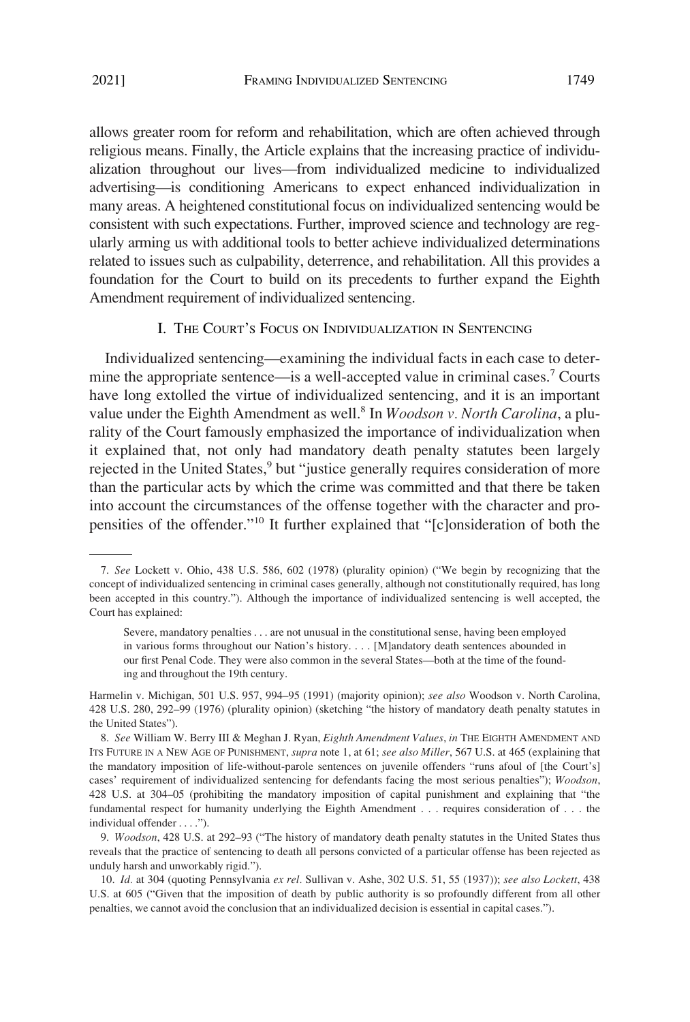<span id="page-2-0"></span>allows greater room for reform and rehabilitation, which are often achieved through religious means. Finally, the Article explains that the increasing practice of individualization throughout our lives—from individualized medicine to individualized advertising—is conditioning Americans to expect enhanced individualization in many areas. A heightened constitutional focus on individualized sentencing would be consistent with such expectations. Further, improved science and technology are regularly arming us with additional tools to better achieve individualized determinations related to issues such as culpability, deterrence, and rehabilitation. All this provides a foundation for the Court to build on its precedents to further expand the Eighth Amendment requirement of individualized sentencing.

### I. THE COURT'S FOCUS ON INDIVIDUALIZATION IN SENTENCING

Individualized sentencing—examining the individual facts in each case to determine the appropriate sentence—is a well-accepted value in criminal cases.<sup>7</sup> Courts have long extolled the virtue of individualized sentencing, and it is an important value under the Eighth Amendment as well.<sup>8</sup> In *Woodson v. North Carolina*, a plurality of the Court famously emphasized the importance of individualization when it explained that, not only had mandatory death penalty statutes been largely rejected in the United States,<sup>9</sup> but "justice generally requires consideration of more than the particular acts by which the crime was committed and that there be taken into account the circumstances of the offense together with the character and propensities of the offender."10 It further explained that "[c]onsideration of both the

<sup>7.</sup> *See* Lockett v. Ohio, 438 U.S. 586, 602 (1978) (plurality opinion) ("We begin by recognizing that the concept of individualized sentencing in criminal cases generally, although not constitutionally required, has long been accepted in this country."). Although the importance of individualized sentencing is well accepted, the Court has explained:

Severe, mandatory penalties . . . are not unusual in the constitutional sense, having been employed in various forms throughout our Nation's history. . . . [M]andatory death sentences abounded in our first Penal Code. They were also common in the several States—both at the time of the founding and throughout the 19th century.

Harmelin v. Michigan, 501 U.S. 957, 994–95 (1991) (majority opinion); *see also* Woodson v. North Carolina, 428 U.S. 280, 292–99 (1976) (plurality opinion) (sketching "the history of mandatory death penalty statutes in the United States").

<sup>8.</sup> *See* William W. Berry III & Meghan J. Ryan, *Eighth Amendment Values*, *in* THE EIGHTH AMENDMENT AND ITS FUTURE IN A NEW AGE OF PUNISHMENT, *supra* note 1, at 61; *see also Miller*, 567 U.S. at 465 (explaining that the mandatory imposition of life-without-parole sentences on juvenile offenders "runs afoul of [the Court's] cases' requirement of individualized sentencing for defendants facing the most serious penalties"); *Woodson*, 428 U.S. at 304–05 (prohibiting the mandatory imposition of capital punishment and explaining that "the fundamental respect for humanity underlying the Eighth Amendment . . . requires consideration of . . . the individual offender . . . .").

<sup>9.</sup> *Woodson*, 428 U.S. at 292–93 ("The history of mandatory death penalty statutes in the United States thus reveals that the practice of sentencing to death all persons convicted of a particular offense has been rejected as unduly harsh and unworkably rigid.").

<sup>10.</sup> *Id.* at 304 (quoting Pennsylvania *ex rel.* Sullivan v. Ashe, 302 U.S. 51, 55 (1937)); *see also Lockett*, 438 U.S. at 605 ("Given that the imposition of death by public authority is so profoundly different from all other penalties, we cannot avoid the conclusion that an individualized decision is essential in capital cases.").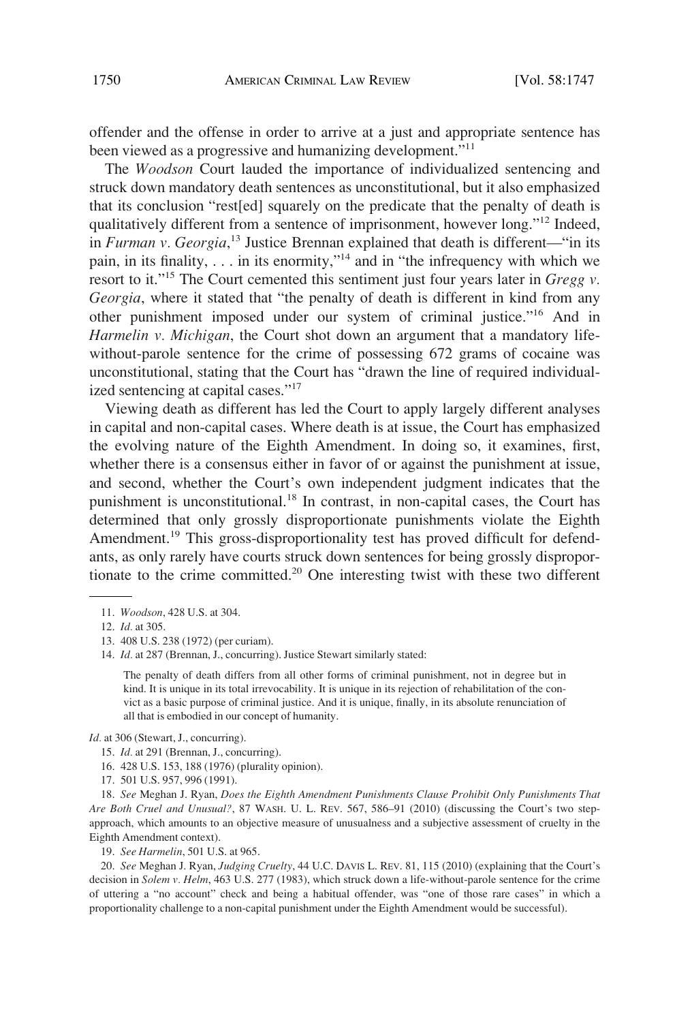offender and the offense in order to arrive at a just and appropriate sentence has been viewed as a progressive and humanizing development."<sup>11</sup>

The *Woodson* Court lauded the importance of individualized sentencing and struck down mandatory death sentences as unconstitutional, but it also emphasized that its conclusion "rest[ed] squarely on the predicate that the penalty of death is qualitatively different from a sentence of imprisonment, however long."12 Indeed, in *Furman v. Georgia*, 13 Justice Brennan explained that death is different—"in its pain, in its finality, . . . in its enormity,"14 and in "the infrequency with which we resort to it."15 The Court cemented this sentiment just four years later in *Gregg v. Georgia*, where it stated that "the penalty of death is different in kind from any other punishment imposed under our system of criminal justice."16 And in *Harmelin v. Michigan*, the Court shot down an argument that a mandatory lifewithout-parole sentence for the crime of possessing 672 grams of cocaine was unconstitutional, stating that the Court has "drawn the line of required individualized sentencing at capital cases."<sup>17</sup>

Viewing death as different has led the Court to apply largely different analyses in capital and non-capital cases. Where death is at issue, the Court has emphasized the evolving nature of the Eighth Amendment. In doing so, it examines, first, whether there is a consensus either in favor of or against the punishment at issue, and second, whether the Court's own independent judgment indicates that the punishment is unconstitutional.18 In contrast, in non-capital cases, the Court has determined that only grossly disproportionate punishments violate the Eighth Amendment.<sup>19</sup> This gross-disproportionality test has proved difficult for defendants, as only rarely have courts struck down sentences for being grossly disproportionate to the crime committed.20 One interesting twist with these two different

- 13. 408 U.S. 238 (1972) (per curiam).
- 14. *Id.* at 287 (Brennan, J., concurring). Justice Stewart similarly stated:

The penalty of death differs from all other forms of criminal punishment, not in degree but in kind. It is unique in its total irrevocability. It is unique in its rejection of rehabilitation of the convict as a basic purpose of criminal justice. And it is unique, finally, in its absolute renunciation of all that is embodied in our concept of humanity.

*Id.* at 306 (Stewart, J., concurring).

- 15. *Id.* at 291 (Brennan, J., concurring).
- 16. 428 U.S. 153, 188 (1976) (plurality opinion).
- 17. 501 U.S. 957, 996 (1991).

18. *See* Meghan J. Ryan, *Does the Eighth Amendment Punishments Clause Prohibit Only Punishments That Are Both Cruel and Unusual?*, 87 WASH. U. L. REV. 567, 586–91 (2010) (discussing the Court's two stepapproach, which amounts to an objective measure of unusualness and a subjective assessment of cruelty in the Eighth Amendment context).

19. *See Harmelin*, 501 U.S. at 965.

20. *See* Meghan J. Ryan, *Judging Cruelty*, 44 U.C. DAVIS L. REV. 81, 115 (2010) (explaining that the Court's decision in *Solem v. Helm*, 463 U.S. 277 (1983), which struck down a life-without-parole sentence for the crime of uttering a "no account" check and being a habitual offender, was "one of those rare cases" in which a proportionality challenge to a non-capital punishment under the Eighth Amendment would be successful).

<sup>11.</sup> *Woodson*, 428 U.S. at 304.

<sup>12.</sup> *Id.* at 305.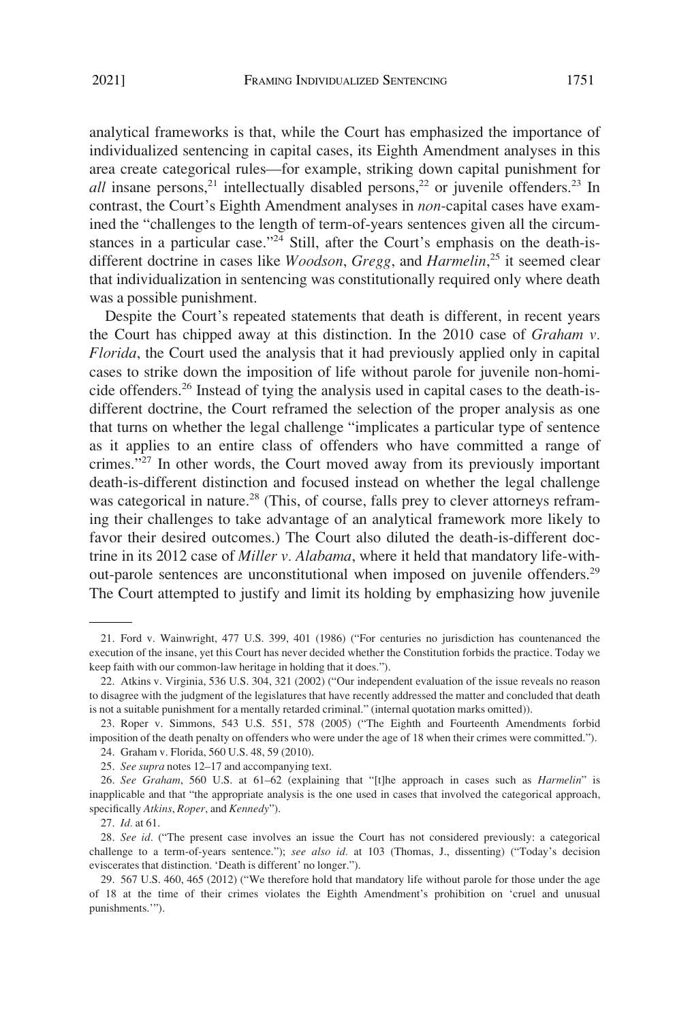analytical frameworks is that, while the Court has emphasized the importance of individualized sentencing in capital cases, its Eighth Amendment analyses in this area create categorical rules—for example, striking down capital punishment for *all* insane persons,<sup>21</sup> intellectually disabled persons,<sup>22</sup> or juvenile offenders.<sup>23</sup> In contrast, the Court's Eighth Amendment analyses in *non-*capital cases have examined the "challenges to the length of term-of-years sentences given all the circumstances in a particular case."<sup>24</sup> Still, after the Court's emphasis on the death-isdifferent doctrine in cases like *Woodson*, *Gregg*, and *Harmelin*, 25 it seemed clear that individualization in sentencing was constitutionally required only where death was a possible punishment.

Despite the Court's repeated statements that death is different, in recent years the Court has chipped away at this distinction. In the 2010 case of *Graham v. Florida*, the Court used the analysis that it had previously applied only in capital cases to strike down the imposition of life without parole for juvenile non-homicide offenders.26 Instead of tying the analysis used in capital cases to the death-isdifferent doctrine, the Court reframed the selection of the proper analysis as one that turns on whether the legal challenge "implicates a particular type of sentence as it applies to an entire class of offenders who have committed a range of crimes."27 In other words, the Court moved away from its previously important death-is-different distinction and focused instead on whether the legal challenge was categorical in nature.<sup>28</sup> (This, of course, falls prey to clever attorneys reframing their challenges to take advantage of an analytical framework more likely to favor their desired outcomes.) The Court also diluted the death-is-different doctrine in its 2012 case of *Miller v. Alabama*, where it held that mandatory life-without-parole sentences are unconstitutional when imposed on juvenile offenders.<sup>29</sup> The Court attempted to justify and limit its holding by emphasizing how juvenile

<sup>21.</sup> Ford v. Wainwright, 477 U.S. 399, 401 (1986) ("For centuries no jurisdiction has countenanced the execution of the insane, yet this Court has never decided whether the Constitution forbids the practice. Today we keep faith with our common-law heritage in holding that it does.").

<sup>22.</sup> Atkins v. Virginia, 536 U.S. 304, 321 (2002) ("Our independent evaluation of the issue reveals no reason to disagree with the judgment of the legislatures that have recently addressed the matter and concluded that death is not a suitable punishment for a mentally retarded criminal." (internal quotation marks omitted)).

<sup>23.</sup> Roper v. Simmons, 543 U.S. 551, 578 (2005) ("The Eighth and Fourteenth Amendments forbid imposition of the death penalty on offenders who were under the age of 18 when their crimes were committed.").

<sup>24.</sup> Graham v. Florida, 560 U.S. 48, 59 (2010).

<sup>25.</sup> *See supra* notes 12–17 and accompanying text.

<sup>26.</sup> *See Graham*, 560 U.S. at 61–62 (explaining that "[t]he approach in cases such as *Harmelin*" is inapplicable and that "the appropriate analysis is the one used in cases that involved the categorical approach, specifically *Atkins*, *Roper*, and *Kennedy*").

<sup>27.</sup> *Id.* at 61.

<sup>28.</sup> *See id.* ("The present case involves an issue the Court has not considered previously: a categorical challenge to a term-of-years sentence."); *see also id.* at 103 (Thomas, J., dissenting) ("Today's decision eviscerates that distinction. 'Death is different' no longer.").

<sup>29. 567</sup> U.S. 460, 465 (2012) ("We therefore hold that mandatory life without parole for those under the age of 18 at the time of their crimes violates the Eighth Amendment's prohibition on 'cruel and unusual punishments.'").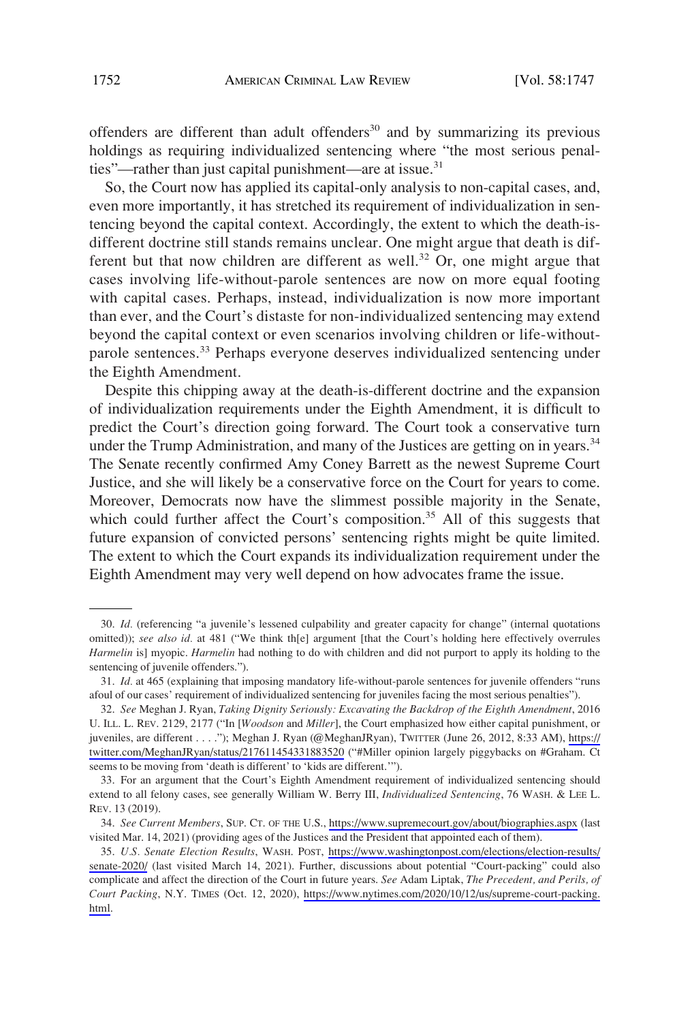offenders are different than adult offenders<sup>30</sup> and by summarizing its previous holdings as requiring individualized sentencing where "the most serious penalties"—rather than just capital punishment—are at issue. $31$ 

So, the Court now has applied its capital-only analysis to non-capital cases, and, even more importantly, it has stretched its requirement of individualization in sentencing beyond the capital context. Accordingly, the extent to which the death-isdifferent doctrine still stands remains unclear. One might argue that death is different but that now children are different as well.<sup>32</sup> Or, one might argue that cases involving life-without-parole sentences are now on more equal footing with capital cases. Perhaps, instead, individualization is now more important than ever, and the Court's distaste for non-individualized sentencing may extend beyond the capital context or even scenarios involving children or life-withoutparole sentences.<sup>33</sup> Perhaps everyone deserves individualized sentencing under the Eighth Amendment.

Despite this chipping away at the death-is-different doctrine and the expansion of individualization requirements under the Eighth Amendment, it is difficult to predict the Court's direction going forward. The Court took a conservative turn under the Trump Administration, and many of the Justices are getting on in years.<sup>34</sup> The Senate recently confirmed Amy Coney Barrett as the newest Supreme Court Justice, and she will likely be a conservative force on the Court for years to come. Moreover, Democrats now have the slimmest possible majority in the Senate, which could further affect the Court's composition.<sup>35</sup> All of this suggests that future expansion of convicted persons' sentencing rights might be quite limited. The extent to which the Court expands its individualization requirement under the Eighth Amendment may very well depend on how advocates frame the issue.

<sup>30.</sup> *Id.* (referencing "a juvenile's lessened culpability and greater capacity for change" (internal quotations omitted)); *see also id.* at 481 ("We think th[e] argument [that the Court's holding here effectively overrules *Harmelin* is] myopic. *Harmelin* had nothing to do with children and did not purport to apply its holding to the sentencing of juvenile offenders.").

<sup>31.</sup> *Id.* at 465 (explaining that imposing mandatory life-without-parole sentences for juvenile offenders "runs afoul of our cases' requirement of individualized sentencing for juveniles facing the most serious penalties").

*See* Meghan J. Ryan, *Taking Dignity Seriously: Excavating the Backdrop of the Eighth Amendment*, 2016 32. U. ILL. L. REV. 2129, 2177 ("In [*Woodson* and *Miller*], the Court emphasized how either capital punishment, or juveniles, are different . . . ."); Meghan J. Ryan (@MeghanJRyan), TWITTER (June 26, 2012, 8:33 AM), [https://](https://twitter.com/MeghanJRyan/status/217611454331883520) [twitter.com/MeghanJRyan/status/217611454331883520](https://twitter.com/MeghanJRyan/status/217611454331883520) ("#Miller opinion largely piggybacks on #Graham. Ct seems to be moving from 'death is different' to 'kids are different.'").

<sup>33.</sup> For an argument that the Court's Eighth Amendment requirement of individualized sentencing should extend to all felony cases, see generally William W. Berry III, *Individualized Sentencing*, 76 WASH. & LEE L. REV. 13 (2019).

*See Current Members*, SUP. CT. OF THE U.S., <https://www.supremecourt.gov/about/biographies.aspx> (last 34. visited Mar. 14, 2021) (providing ages of the Justices and the President that appointed each of them).

*U.S. Senate Election Results*, WASH. POST, [https://www.washingtonpost.com/elections/election-results/](https://www.washingtonpost.com/elections/election-results/senate-2020/)  35. [senate-2020/](https://www.washingtonpost.com/elections/election-results/senate-2020/) (last visited March 14, 2021). Further, discussions about potential "Court-packing" could also complicate and affect the direction of the Court in future years. *See* Adam Liptak, *The Precedent, and Perils, of Court Packing*, N.Y. TIMES (Oct. 12, 2020), [https://www.nytimes.com/2020/10/12/us/supreme-court-packing.](https://www.nytimes.com/2020/10/12/us/supreme-court-packing.html) [html.](https://www.nytimes.com/2020/10/12/us/supreme-court-packing.html)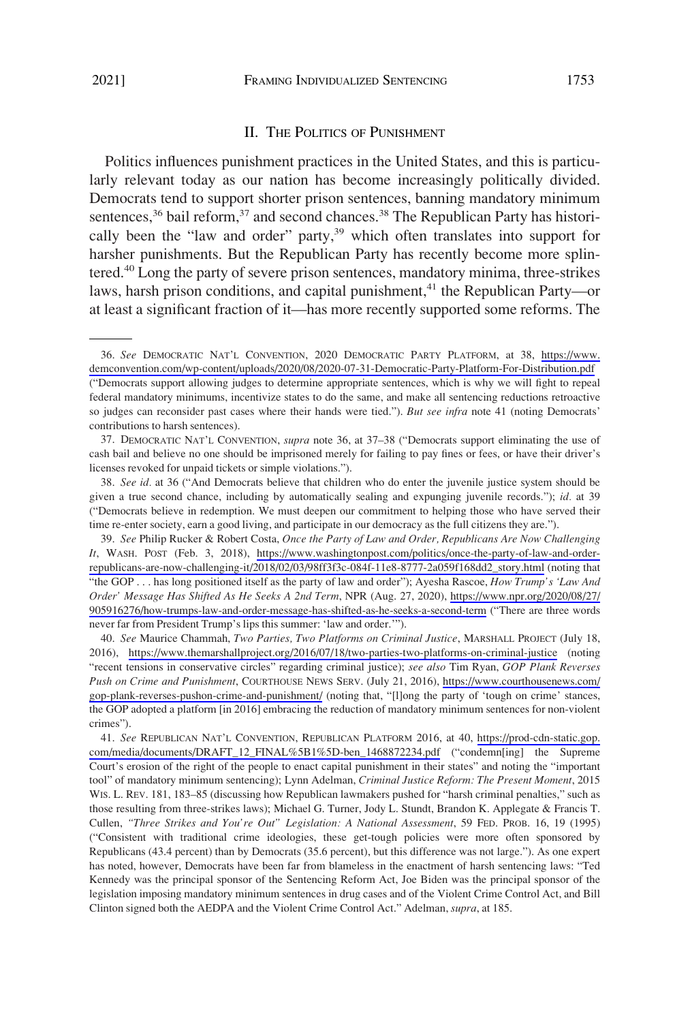#### II. THE POLITICS OF PUNISHMENT

<span id="page-6-0"></span>Politics influences punishment practices in the United States, and this is particularly relevant today as our nation has become increasingly politically divided. Democrats tend to support shorter prison sentences, banning mandatory minimum sentences,<sup>36</sup> bail reform,<sup>37</sup> and second chances.<sup>38</sup> The Republican Party has historically been the "law and order" party,<sup>39</sup> which often translates into support for harsher punishments. But the Republican Party has recently become more splintered.<sup>40</sup> Long the party of severe prison sentences, mandatory minima, three-strikes laws, harsh prison conditions, and capital punishment,<sup>41</sup> the Republican Party—or at least a significant fraction of it—has more recently supported some reforms. The

37. DEMOCRATIC NAT'L CONVENTION, *supra* note 36, at 37–38 ("Democrats support eliminating the use of cash bail and believe no one should be imprisoned merely for failing to pay fines or fees, or have their driver's licenses revoked for unpaid tickets or simple violations.").

38. *See id.* at 36 ("And Democrats believe that children who do enter the juvenile justice system should be given a true second chance, including by automatically sealing and expunging juvenile records."); *id.* at 39 ("Democrats believe in redemption. We must deepen our commitment to helping those who have served their time re-enter society, earn a good living, and participate in our democracy as the full citizens they are.").

*See* Philip Rucker & Robert Costa, *Once the Party of Law and Order, Republicans Are Now Challenging*  39. *It*, WASH. POST (Feb. 3, 2018), [https://www.washingtonpost.com/politics/once-the-party-of-law-and-order](https://www.washingtonpost.com/politics/once-the-party-of-law-and-order-republicans-are-now-challenging-it/2018/02/03/98ff3f3c-084f-11e8-8777-2a059f168dd2_story.html)[republicans-are-now-challenging-it/2018/02/03/98ff3f3c-084f-11e8-8777-2a059f168dd2\\_story.html](https://www.washingtonpost.com/politics/once-the-party-of-law-and-order-republicans-are-now-challenging-it/2018/02/03/98ff3f3c-084f-11e8-8777-2a059f168dd2_story.html) (noting that "the GOP . . . has long positioned itself as the party of law and order"); Ayesha Rascoe, *How Trump's 'Law And Order' Message Has Shifted As He Seeks A 2nd Term*, NPR (Aug. 27, 2020), [https://www.npr.org/2020/08/27/](https://www.npr.org/2020/08/27/905916276/how-trumps-law-and-order-message-has-shifted-as-he-seeks-a-second-term) [905916276/how-trumps-law-and-order-message-has-shifted-as-he-seeks-a-second-term](https://www.npr.org/2020/08/27/905916276/how-trumps-law-and-order-message-has-shifted-as-he-seeks-a-second-term) ("There are three words never far from President Trump's lips this summer: 'law and order.'").

*See* Maurice Chammah, *Two Parties, Two Platforms on Criminal Justice*, MARSHALL PROJECT (July 18, 40. 2016), <https://www.themarshallproject.org/2016/07/18/two-parties-two-platforms-on-criminal-justice>(noting "recent tensions in conservative circles" regarding criminal justice); *see also* Tim Ryan, *GOP Plank Reverses Push on Crime and Punishment*, COURTHOUSE NEWS SERV. (July 21, 2016), [https://www.courthousenews.com/](https://www.courthousenews.com/gop-plank-reverses-pushon-crime-and-punishment/) [gop-plank-reverses-pushon-crime-and-punishment/](https://www.courthousenews.com/gop-plank-reverses-pushon-crime-and-punishment/) (noting that, "[l]ong the party of 'tough on crime' stances, the GOP adopted a platform [in 2016] embracing the reduction of mandatory minimum sentences for non-violent crimes").

*See* REPUBLICAN NAT'L CONVENTION, REPUBLICAN PLATFORM 2016, at 40, [https://prod-cdn-static.gop.](https://prod-cdn-static.gop.com/media/documents/DRAFT_12_FINAL%5B1%5D-ben_1468872234.pdf) 41. [com/media/documents/DRAFT\\_12\\_FINAL%5B1%5D-ben\\_1468872234.pdf](https://prod-cdn-static.gop.com/media/documents/DRAFT_12_FINAL%5B1%5D-ben_1468872234.pdf) ("condemn[ing] the Supreme Court's erosion of the right of the people to enact capital punishment in their states" and noting the "important tool" of mandatory minimum sentencing); Lynn Adelman, *Criminal Justice Reform: The Present Moment*, 2015 WIS. L. REV. 181, 183–85 (discussing how Republican lawmakers pushed for "harsh criminal penalties," such as those resulting from three-strikes laws); Michael G. Turner, Jody L. Stundt, Brandon K. Applegate & Francis T. Cullen, *"Three Strikes and You're Out" Legislation: A National Assessment*, 59 FED. PROB. 16, 19 (1995) ("Consistent with traditional crime ideologies, these get-tough policies were more often sponsored by Republicans (43.4 percent) than by Democrats (35.6 percent), but this difference was not large."). As one expert has noted, however, Democrats have been far from blameless in the enactment of harsh sentencing laws: "Ted Kennedy was the principal sponsor of the Sentencing Reform Act, Joe Biden was the principal sponsor of the legislation imposing mandatory minimum sentences in drug cases and of the Violent Crime Control Act, and Bill Clinton signed both the AEDPA and the Violent Crime Control Act." Adelman, *supra*, at 185.

*See* DEMOCRATIC NAT'L CONVENTION, 2020 DEMOCRATIC PARTY PLATFORM, at 38, [https://www.](https://www.demconvention.com/wp-content/uploads/2020/08/2020-07-31-Democratic-Party-Platform-For-Distribution.pdf)  36. [demconvention.com/wp-content/uploads/2020/08/2020-07-31-Democratic-Party-Platform-For-Distribution.pdf](https://www.demconvention.com/wp-content/uploads/2020/08/2020-07-31-Democratic-Party-Platform-For-Distribution.pdf) ("Democrats support allowing judges to determine appropriate sentences, which is why we will fight to repeal federal mandatory minimums, incentivize states to do the same, and make all sentencing reductions retroactive so judges can reconsider past cases where their hands were tied."). *But see infra* note 41 (noting Democrats' contributions to harsh sentences).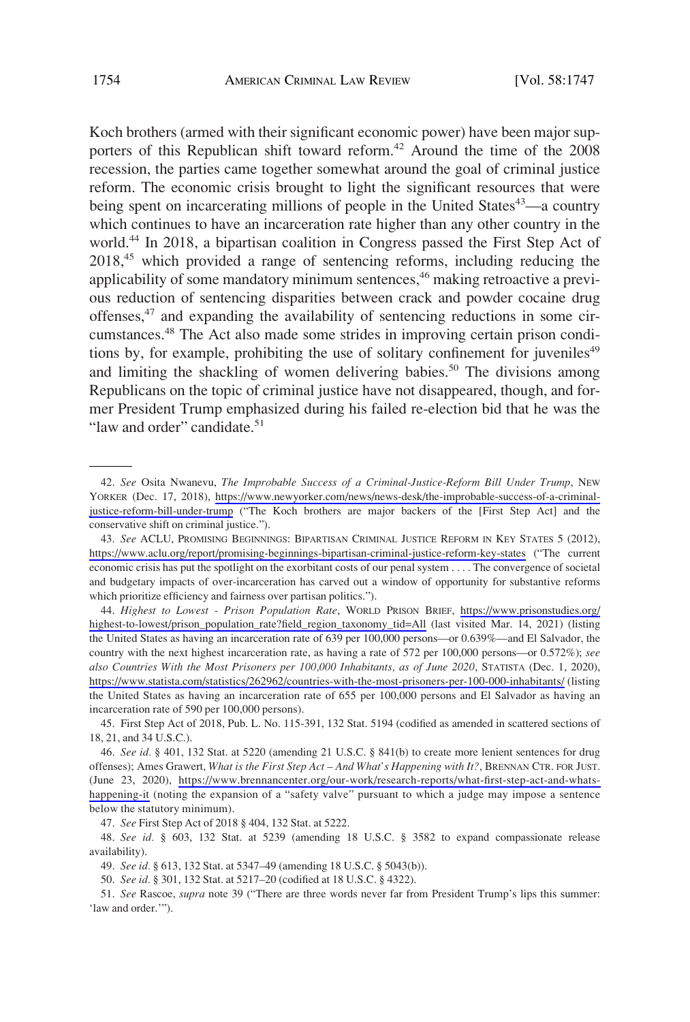Koch brothers (armed with their significant economic power) have been major supporters of this Republican shift toward reform.<sup>42</sup> Around the time of the 2008 recession, the parties came together somewhat around the goal of criminal justice reform. The economic crisis brought to light the significant resources that were being spent on incarcerating millions of people in the United States<sup>43</sup>—a country which continues to have an incarceration rate higher than any other country in the world.44 In 2018, a bipartisan coalition in Congress passed the First Step Act of 2018<sup>45</sup> which provided a range of sentencing reforms, including reducing the applicability of some mandatory minimum sentences,<sup>46</sup> making retroactive a previous reduction of sentencing disparities between crack and powder cocaine drug offenses,47 and expanding the availability of sentencing reductions in some circumstances.<sup>48</sup> The Act also made some strides in improving certain prison conditions by, for example, prohibiting the use of solitary confinement for juveniles $49$ and limiting the shackling of women delivering babies.<sup>50</sup> The divisions among Republicans on the topic of criminal justice have not disappeared, though, and former President Trump emphasized during his failed re-election bid that he was the "law and order" candidate.<sup>51</sup>

47. *See* First Step Act of 2018 § 404, 132 Stat. at 5222.

48. *See id.* § 603, 132 Stat. at 5239 (amending 18 U.S.C. § 3582 to expand compassionate release availability).

49. *See id.* § 613, 132 Stat. at 5347–49 (amending 18 U.S.C. § 5043(b)).

50. *See id.* § 301, 132 Stat. at 5217–20 (codified at 18 U.S.C. § 4322).

51. *See* Rascoe, *supra* note 39 ("There are three words never far from President Trump's lips this summer: 'law and order.'").

*See* Osita Nwanevu, *The Improbable Success of a Criminal-Justice-Reform Bill Under Trump*, NEW 42. YORKER (Dec. 17, 2018), [https://www.newyorker.com/news/news-desk/the-improbable-success-of-a-criminal](https://www.newyorker.com/news/news-desk/the-improbable-success-of-a-criminal-justice-reform-bill-under-trump)[justice-reform-bill-under-trump](https://www.newyorker.com/news/news-desk/the-improbable-success-of-a-criminal-justice-reform-bill-under-trump) ("The Koch brothers are major backers of the [First Step Act] and the conservative shift on criminal justice.").

<sup>43.</sup> See ACLU, PROMISING BEGINNINGS: BIPARTISAN CRIMINAL JUSTICE REFORM IN KEY STATES 5 (2012), <https://www.aclu.org/report/promising-beginnings-bipartisan-criminal-justice-reform-key-states> ("The current economic crisis has put the spotlight on the exorbitant costs of our penal system . . . . The convergence of societal and budgetary impacts of over-incarceration has carved out a window of opportunity for substantive reforms which prioritize efficiency and fairness over partisan politics.").

*Highest to Lowest - Prison Population Rate*, WORLD PRISON BRIEF, [https://www.prisonstudies.org/](https://www.prisonstudies.org/highest-to-lowest/prison_population_rate?field_region_taxonomy_tid=All) 44. [highest-to-lowest/prison\\_population\\_rate?field\\_region\\_taxonomy\\_tid=All](https://www.prisonstudies.org/highest-to-lowest/prison_population_rate?field_region_taxonomy_tid=All) (last visited Mar. 14, 2021) (listing the United States as having an incarceration rate of 639 per 100,000 persons—or 0.639%—and El Salvador, the country with the next highest incarceration rate, as having a rate of 572 per 100,000 persons—or 0.572%); *see also Countries With the Most Prisoners per 100,000 Inhabitants, as of June 2020*, STATISTA (Dec. 1, 2020), <https://www.statista.com/statistics/262962/countries-with-the-most-prisoners-per-100-000-inhabitants/>(listing the United States as having an incarceration rate of 655 per 100,000 persons and El Salvador as having an incarceration rate of 590 per 100,000 persons).

<sup>45.</sup> First Step Act of 2018, Pub. L. No. 115-391, 132 Stat. 5194 (codified as amended in scattered sections of 18, 21, and 34 U.S.C.).

*See id.* § 401, 132 Stat. at 5220 (amending 21 U.S.C. § 841(b) to create more lenient sentences for drug 46. offenses); Ames Grawert, *What is the First Step Act – And What's Happening with It?*, BRENNAN CTR. FOR JUST. (June 23, 2020), [https://www.brennancenter.org/our-work/research-reports/what-first-step-act-and-whats](https://www.brennancenter.org/our-work/research-reports/what-first-step-act-and-whats-happening-it)[happening-it](https://www.brennancenter.org/our-work/research-reports/what-first-step-act-and-whats-happening-it) (noting the expansion of a "safety valve" pursuant to which a judge may impose a sentence below the statutory minimum).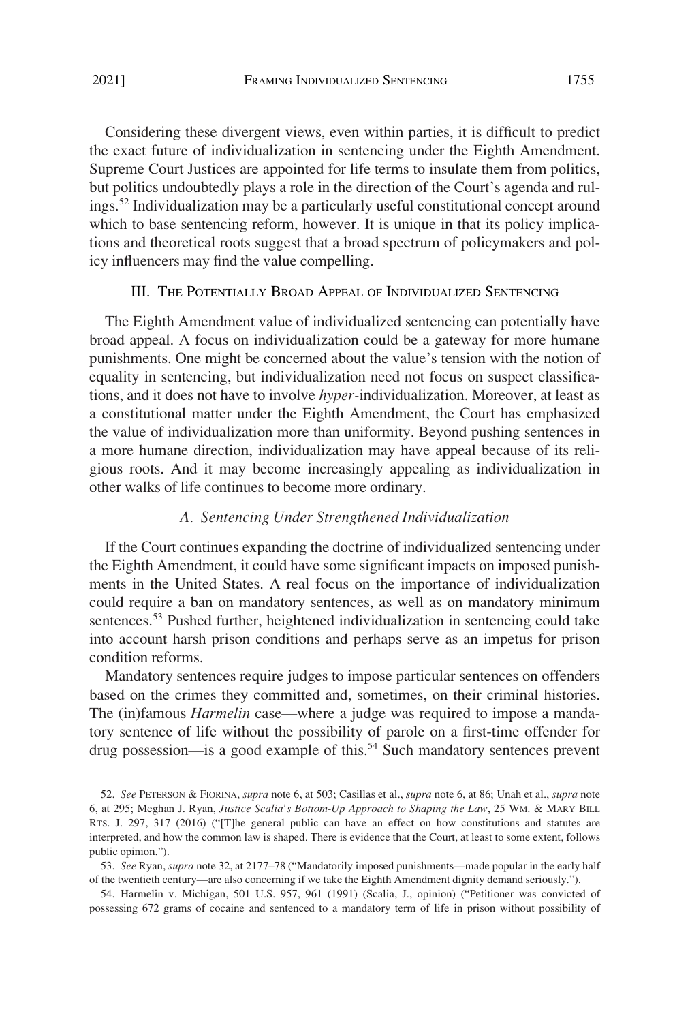<span id="page-8-0"></span>Considering these divergent views, even within parties, it is difficult to predict the exact future of individualization in sentencing under the Eighth Amendment. Supreme Court Justices are appointed for life terms to insulate them from politics, but politics undoubtedly plays a role in the direction of the Court's agenda and rulings.52 Individualization may be a particularly useful constitutional concept around which to base sentencing reform, however. It is unique in that its policy implications and theoretical roots suggest that a broad spectrum of policymakers and policy influencers may find the value compelling.

## III. THE POTENTIALLY BROAD APPEAL OF INDIVIDUALIZED SENTENCING

The Eighth Amendment value of individualized sentencing can potentially have broad appeal. A focus on individualization could be a gateway for more humane punishments. One might be concerned about the value's tension with the notion of equality in sentencing, but individualization need not focus on suspect classifications, and it does not have to involve *hyper-*individualization. Moreover, at least as a constitutional matter under the Eighth Amendment, the Court has emphasized the value of individualization more than uniformity. Beyond pushing sentences in a more humane direction, individualization may have appeal because of its religious roots. And it may become increasingly appealing as individualization in other walks of life continues to become more ordinary.

### *A. Sentencing Under Strengthened Individualization*

If the Court continues expanding the doctrine of individualized sentencing under the Eighth Amendment, it could have some significant impacts on imposed punishments in the United States. A real focus on the importance of individualization could require a ban on mandatory sentences, as well as on mandatory minimum sentences.<sup>53</sup> Pushed further, heightened individualization in sentencing could take into account harsh prison conditions and perhaps serve as an impetus for prison condition reforms.

Mandatory sentences require judges to impose particular sentences on offenders based on the crimes they committed and, sometimes, on their criminal histories. The (in)famous *Harmelin* case—where a judge was required to impose a mandatory sentence of life without the possibility of parole on a first-time offender for drug possession—is a good example of this.<sup>54</sup> Such mandatory sentences prevent

<sup>52.</sup> *See* PETERSON & FIORINA, *supra* note 6, at 503; Casillas et al., *supra* note 6, at 86; Unah et al., *supra* note 6, at 295; Meghan J. Ryan, *Justice Scalia's Bottom-Up Approach to Shaping the Law*, 25 WM. & MARY BILL RTS. J. 297, 317 (2016) ("[T]he general public can have an effect on how constitutions and statutes are interpreted, and how the common law is shaped. There is evidence that the Court, at least to some extent, follows public opinion.").

<sup>53.</sup> *See* Ryan, *supra* note 32, at 2177–78 ("Mandatorily imposed punishments—made popular in the early half of the twentieth century—are also concerning if we take the Eighth Amendment dignity demand seriously.").

<sup>54.</sup> Harmelin v. Michigan, 501 U.S. 957, 961 (1991) (Scalia, J., opinion) ("Petitioner was convicted of possessing 672 grams of cocaine and sentenced to a mandatory term of life in prison without possibility of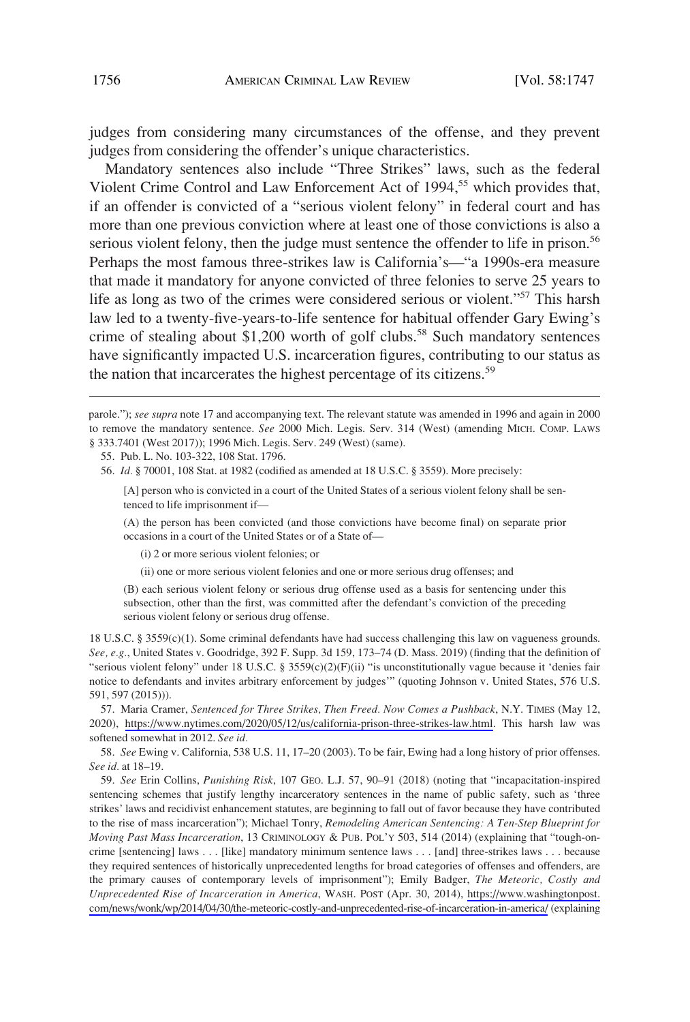judges from considering many circumstances of the offense, and they prevent judges from considering the offender's unique characteristics.

Mandatory sentences also include "Three Strikes" laws, such as the federal Violent Crime Control and Law Enforcement Act of 1994,<sup>55</sup> which provides that, if an offender is convicted of a "serious violent felony" in federal court and has more than one previous conviction where at least one of those convictions is also a serious violent felony, then the judge must sentence the offender to life in prison.<sup>56</sup> Perhaps the most famous three-strikes law is California's—"a 1990s-era measure that made it mandatory for anyone convicted of three felonies to serve 25 years to life as long as two of the crimes were considered serious or violent."<sup>57</sup> This harsh law led to a twenty-five-years-to-life sentence for habitual offender Gary Ewing's crime of stealing about \$1,200 worth of golf clubs.<sup>58</sup> Such mandatory sentences have significantly impacted U.S. incarceration figures, contributing to our status as the nation that incarcerates the highest percentage of its citizens.<sup>59</sup>

55. Pub. L. No. 103-322, 108 Stat. 1796.

56. *Id.* § 70001, 108 Stat. at 1982 (codified as amended at 18 U.S.C. § 3559). More precisely:

[A] person who is convicted in a court of the United States of a serious violent felony shall be sentenced to life imprisonment if—

(A) the person has been convicted (and those convictions have become final) on separate prior occasions in a court of the United States or of a State of—

(i) 2 or more serious violent felonies; or

(ii) one or more serious violent felonies and one or more serious drug offenses; and

(B) each serious violent felony or serious drug offense used as a basis for sentencing under this subsection, other than the first, was committed after the defendant's conviction of the preceding serious violent felony or serious drug offense.

18 U.S.C. § 3559(c)(1). Some criminal defendants have had success challenging this law on vagueness grounds. *See, e.g.*, United States v. Goodridge, 392 F. Supp. 3d 159, 173–74 (D. Mass. 2019) (finding that the definition of "serious violent felony" under 18 U.S.C. § 3559(c)(2)(F)(ii) "is unconstitutionally vague because it 'denies fair notice to defendants and invites arbitrary enforcement by judges'" (quoting Johnson v. United States, 576 U.S. 591, 597 (2015))).

57. Maria Cramer, *Sentenced for Three Strikes, Then Freed. Now Comes a Pushback*, N.Y. TIMES (May 12, 2020), <https://www.nytimes.com/2020/05/12/us/california-prison-three-strikes-law.html>. This harsh law was softened somewhat in 2012. *See id.* 

58. *See* Ewing v. California, 538 U.S. 11, 17–20 (2003). To be fair, Ewing had a long history of prior offenses. *See id.* at 18–19.

*See* Erin Collins, *Punishing Risk*, 107 GEO. L.J. 57, 90–91 (2018) (noting that "incapacitation-inspired 59. sentencing schemes that justify lengthy incarceratory sentences in the name of public safety, such as 'three strikes' laws and recidivist enhancement statutes, are beginning to fall out of favor because they have contributed to the rise of mass incarceration"); Michael Tonry, *Remodeling American Sentencing: A Ten-Step Blueprint for Moving Past Mass Incarceration*, 13 CRIMINOLOGY & PUB. POL'Y 503, 514 (2014) (explaining that "tough-oncrime [sentencing] laws . . . [like] mandatory minimum sentence laws . . . [and] three-strikes laws . . . because they required sentences of historically unprecedented lengths for broad categories of offenses and offenders, are the primary causes of contemporary levels of imprisonment"); Emily Badger, *The Meteoric, Costly and Unprecedented Rise of Incarceration in America*, WASH. POST (Apr. 30, 2014), [https://www.washingtonpost.](https://www.washingtonpost.com/news/wonk/wp/2014/04/30/the-meteoric-costly-and-unprecedented-rise-of-incarceration-in-america/)  [com/news/wonk/wp/2014/04/30/the-meteoric-costly-and-unprecedented-rise-of-incarceration-in-america/](https://www.washingtonpost.com/news/wonk/wp/2014/04/30/the-meteoric-costly-and-unprecedented-rise-of-incarceration-in-america/) (explaining

parole."); see supra note 17 and accompanying text. The relevant statute was amended in 1996 and again in 2000 to remove the mandatory sentence. *See* 2000 Mich. Legis. Serv. 314 (West) (amending MICH. COMP. LAWS § 333.7401 (West 2017)); 1996 Mich. Legis. Serv. 249 (West) (same).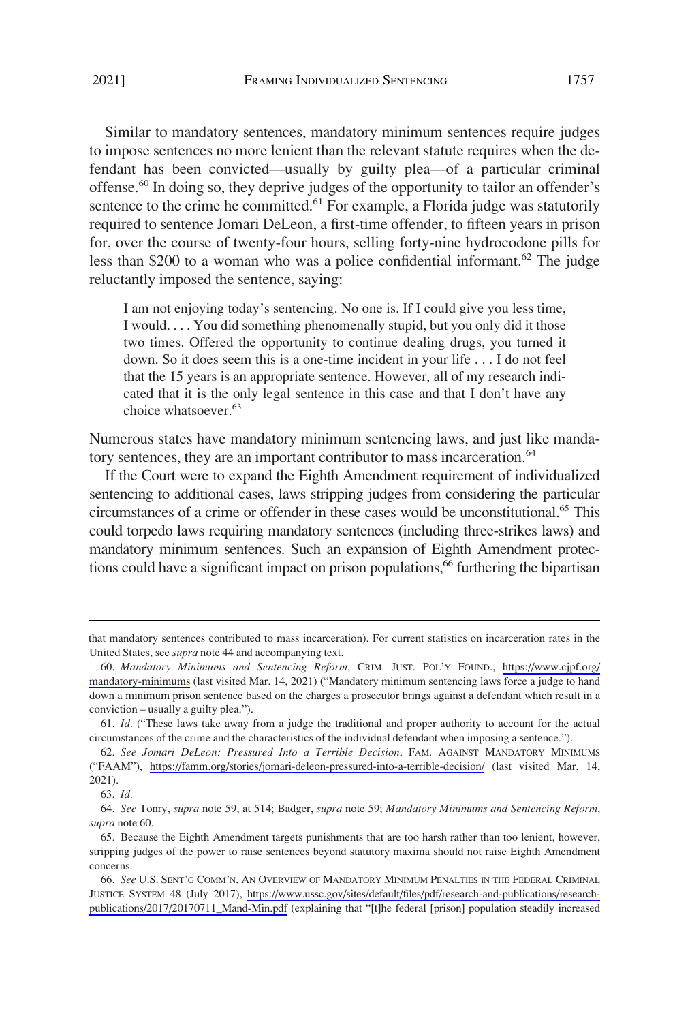Similar to mandatory sentences, mandatory minimum sentences require judges to impose sentences no more lenient than the relevant statute requires when the defendant has been convicted—usually by guilty plea—of a particular criminal offense.<sup>60</sup> In doing so, they deprive judges of the opportunity to tailor an offender's sentence to the crime he committed.<sup>61</sup> For example, a Florida judge was statutorily required to sentence Jomari DeLeon, a first-time offender, to fifteen years in prison for, over the course of twenty-four hours, selling forty-nine hydrocodone pills for less than \$200 to a woman who was a police confidential informant.<sup>62</sup> The judge reluctantly imposed the sentence, saying:

I am not enjoying today's sentencing. No one is. If I could give you less time, I would. . . . You did something phenomenally stupid, but you only did it those two times. Offered the opportunity to continue dealing drugs, you turned it down. So it does seem this is a one-time incident in your life . . . I do not feel that the 15 years is an appropriate sentence. However, all of my research indicated that it is the only legal sentence in this case and that I don't have any choice whatsoever.<sup>63</sup>

Numerous states have mandatory minimum sentencing laws, and just like mandatory sentences, they are an important contributor to mass incarceration.<sup>64</sup>

If the Court were to expand the Eighth Amendment requirement of individualized sentencing to additional cases, laws stripping judges from considering the particular circumstances of a crime or offender in these cases would be unconstitutional.65 This could torpedo laws requiring mandatory sentences (including three-strikes laws) and mandatory minimum sentences. Such an expansion of Eighth Amendment protections could have a significant impact on prison populations,<sup>66</sup> furthering the bipartisan

that mandatory sentences contributed to mass incarceration). For current statistics on incarceration rates in the United States, see *supra* note 44 and accompanying text.

*Mandatory Minimums and Sentencing Reform*, CRIM. JUST. POL'Y FOUND., [https://www.cjpf.org/](https://www.cjpf.org/mandatory-minimums)  60. [mandatory-minimums](https://www.cjpf.org/mandatory-minimums) (last visited Mar. 14, 2021) ("Mandatory minimum sentencing laws force a judge to hand down a minimum prison sentence based on the charges a prosecutor brings against a defendant which result in a conviction – usually a guilty plea.").

<sup>61.</sup> *Id.* ("These laws take away from a judge the traditional and proper authority to account for the actual circumstances of the crime and the characteristics of the individual defendant when imposing a sentence.").

*See Jomari DeLeon: Pressured Into a Terrible Decision*, FAM. AGAINST MANDATORY MINIMUMS 62. ("FAAM"), <https://famm.org/stories/jomari-deleon-pressured-into-a-terrible-decision/>(last visited Mar. 14, 2021).

<sup>63.</sup> *Id.* 

<sup>64.</sup> *See* Tonry, *supra* note 59, at 514; Badger, *supra* note 59; *Mandatory Minimums and Sentencing Reform*, *supra* note 60.

<sup>65.</sup> Because the Eighth Amendment targets punishments that are too harsh rather than too lenient, however, stripping judges of the power to raise sentences beyond statutory maxima should not raise Eighth Amendment concerns.

<sup>66.</sup> See U.S. SENT'G COMM'N, AN OVERVIEW OF MANDATORY MINIMUM PENALTIES IN THE FEDERAL CRIMINAL JUSTICE SYSTEM 48 (July 2017), [https://www.ussc.gov/sites/default/files/pdf/research-and-publications/research](https://www.ussc.gov/sites/default/files/pdf/research-and-publications/research-publications/2017/20170711_Mand-Min.pdf)[publications/2017/20170711\\_Mand-Min.pdf](https://www.ussc.gov/sites/default/files/pdf/research-and-publications/research-publications/2017/20170711_Mand-Min.pdf) (explaining that "[t]he federal [prison] population steadily increased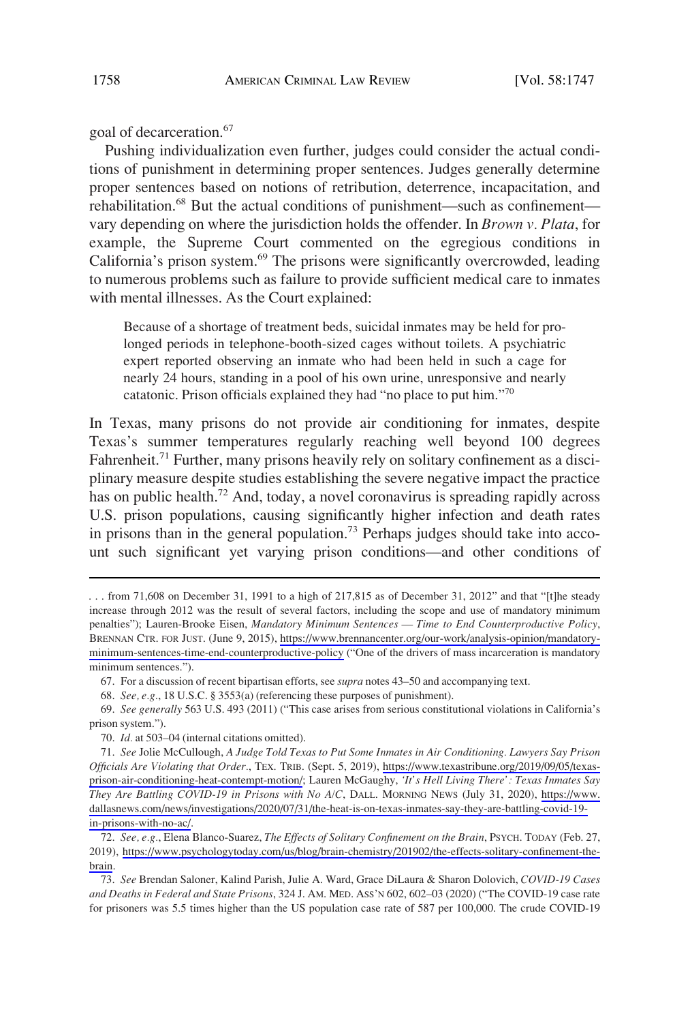goal of decarceration.<sup>67</sup>

Pushing individualization even further, judges could consider the actual conditions of punishment in determining proper sentences. Judges generally determine proper sentences based on notions of retribution, deterrence, incapacitation, and rehabilitation.<sup>68</sup> But the actual conditions of punishment—such as confinement vary depending on where the jurisdiction holds the offender. In *Brown v. Plata*, for example, the Supreme Court commented on the egregious conditions in California's prison system.<sup>69</sup> The prisons were significantly overcrowded, leading to numerous problems such as failure to provide sufficient medical care to inmates with mental illnesses. As the Court explained:

Because of a shortage of treatment beds, suicidal inmates may be held for prolonged periods in telephone-booth-sized cages without toilets. A psychiatric expert reported observing an inmate who had been held in such a cage for nearly 24 hours, standing in a pool of his own urine, unresponsive and nearly catatonic. Prison officials explained they had "no place to put him."<sup>70</sup>

In Texas, many prisons do not provide air conditioning for inmates, despite Texas's summer temperatures regularly reaching well beyond 100 degrees Fahrenheit.<sup>71</sup> Further, many prisons heavily rely on solitary confinement as a disciplinary measure despite studies establishing the severe negative impact the practice has on public health.<sup>72</sup> And, today, a novel coronavirus is spreading rapidly across U.S. prison populations, causing significantly higher infection and death rates in prisons than in the general population.<sup>73</sup> Perhaps judges should take into account such significant yet varying prison conditions—and other conditions of

67. For a discussion of recent bipartisan efforts, see *supra* notes 43–50 and accompanying text.

68. *See, e.g.*, 18 U.S.C. § 3553(a) (referencing these purposes of punishment).

69. *See generally* 563 U.S. 493 (2011) ("This case arises from serious constitutional violations in California's prison system.").

*See, e.g.*, Elena Blanco-Suarez, *The Effects of Solitary Confinement on the Brain*, PSYCH. TODAY (Feb. 27, 72. 2019), [https://www.psychologytoday.com/us/blog/brain-chemistry/201902/the-effects-solitary-confinement-the](https://www.psychologytoday.com/us/blog/brain-chemistry/201902/the-effects-solitary-confinement-the-brain)[brain](https://www.psychologytoday.com/us/blog/brain-chemistry/201902/the-effects-solitary-confinement-the-brain).

73. *See* Brendan Saloner, Kalind Parish, Julie A. Ward, Grace DiLaura & Sharon Dolovich, *COVID-19 Cases and Deaths in Federal and State Prisons*, 324 J. AM. MED. ASS'N 602, 602–03 (2020) ("The COVID-19 case rate for prisoners was 5.5 times higher than the US population case rate of 587 per 100,000. The crude COVID-19

<sup>. . .</sup> from 71,608 on December 31, 1991 to a high of 217,815 as of December 31, 2012" and that "[t]he steady increase through 2012 was the result of several factors, including the scope and use of mandatory minimum penalties"); Lauren-Brooke Eisen, *Mandatory Minimum Sentences — Time to End Counterproductive Policy*, BRENNAN CTR. FOR JUST. (June 9, 2015), [https://www.brennancenter.org/our-work/analysis-opinion/mandatory](https://www.brennancenter.org/our-work/analysis-opinion/mandatory-minimum-sentences-time-end-counterproductive-policy)[minimum-sentences-time-end-counterproductive-policy](https://www.brennancenter.org/our-work/analysis-opinion/mandatory-minimum-sentences-time-end-counterproductive-policy) ("One of the drivers of mass incarceration is mandatory minimum sentences.").

<sup>70.</sup> *Id.* at 503–04 (internal citations omitted).

*See* Jolie McCullough, *A Judge Told Texas to Put Some Inmates in Air Conditioning. Lawyers Say Prison*  71. *Officials Are Violating that Order.*, TEX. TRIB. (Sept. 5, 2019), [https://www.texastribune.org/2019/09/05/texas](https://www.texastribune.org/2019/09/05/texas-prison-air-conditioning-heat-contempt-motion/)[prison-air-conditioning-heat-contempt-motion/](https://www.texastribune.org/2019/09/05/texas-prison-air-conditioning-heat-contempt-motion/); Lauren McGaughy, *'It's Hell Living There': Texas Inmates Say They Are Battling COVID-19 in Prisons with No A/C*, DALL. MORNING NEWS (July 31, 2020), [https://www.](https://www.dallasnews.com/news/investigations/2020/07/31/the-heat-is-on-texas-inmates-say-they-are-battling-covid-19-in-prisons-with-no-ac/)  [dallasnews.com/news/investigations/2020/07/31/the-heat-is-on-texas-inmates-say-they-are-battling-covid-19](https://www.dallasnews.com/news/investigations/2020/07/31/the-heat-is-on-texas-inmates-say-they-are-battling-covid-19-in-prisons-with-no-ac/) [in-prisons-with-no-ac/](https://www.dallasnews.com/news/investigations/2020/07/31/the-heat-is-on-texas-inmates-say-they-are-battling-covid-19-in-prisons-with-no-ac/).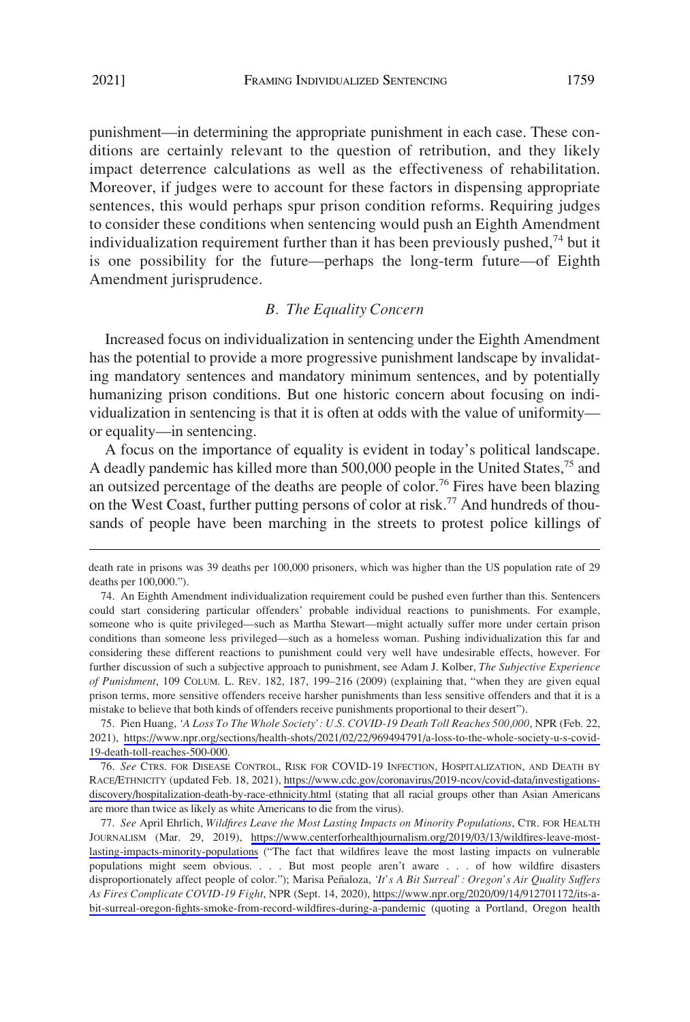<span id="page-12-0"></span>punishment—in determining the appropriate punishment in each case. These conditions are certainly relevant to the question of retribution, and they likely impact deterrence calculations as well as the effectiveness of rehabilitation. Moreover, if judges were to account for these factors in dispensing appropriate sentences, this would perhaps spur prison condition reforms. Requiring judges to consider these conditions when sentencing would push an Eighth Amendment individualization requirement further than it has been previously pushed, $74$  but it is one possibility for the future—perhaps the long-term future—of Eighth Amendment jurisprudence.

#### *B. The Equality Concern*

Increased focus on individualization in sentencing under the Eighth Amendment has the potential to provide a more progressive punishment landscape by invalidating mandatory sentences and mandatory minimum sentences, and by potentially humanizing prison conditions. But one historic concern about focusing on individualization in sentencing is that it is often at odds with the value of uniformity or equality—in sentencing.

A focus on the importance of equality is evident in today's political landscape. A deadly pandemic has killed more than 500,000 people in the United States,<sup>75</sup> and an outsized percentage of the deaths are people of color.<sup>76</sup> Fires have been blazing on the West Coast, further putting persons of color at risk.<sup>77</sup> And hundreds of thousands of people have been marching in the streets to protest police killings of

Pien Huang, *'A Loss To The Whole Society': U.S. COVID-19 Death Toll Reaches 500,000*, NPR (Feb. 22, 75. 2021), [https://www.npr.org/sections/health-shots/2021/02/22/969494791/a-loss-to-the-whole-society-u-s-covid-](https://www.npr.org/sections/health-shots/2021/02/22/969494791/a-loss-to-the-whole-society-u-s-covid-19-death-toll-reaches-500-000)[19-death-toll-reaches-500-000](https://www.npr.org/sections/health-shots/2021/02/22/969494791/a-loss-to-the-whole-society-u-s-covid-19-death-toll-reaches-500-000).

*See* CTRS. FOR DISEASE CONTROL, RISK FOR COVID-19 INFECTION, HOSPITALIZATION, AND DEATH BY 76. RACE/ETHNICITY (updated Feb. 18, 2021), [https://www.cdc.gov/coronavirus/2019-ncov/covid-data/investigations](https://www.cdc.gov/coronavirus/2019-ncov/covid-data/investigations-discovery/hospitalization-death-by-race-ethnicity.html)[discovery/hospitalization-death-by-race-ethnicity.html](https://www.cdc.gov/coronavirus/2019-ncov/covid-data/investigations-discovery/hospitalization-death-by-race-ethnicity.html) (stating that all racial groups other than Asian Americans are more than twice as likely as white Americans to die from the virus).

*See* April Ehrlich, *Wildfires Leave the Most Lasting Impacts on Minority Populations*, CTR. FOR HEALTH 77. JOURNALISM (Mar. 29, 2019), [https://www.centerforhealthjournalism.org/2019/03/13/wildfires-leave-most](https://www.centerforhealthjournalism.org/2019/03/13/wildfires-leave-most-lasting-impacts-minority-populations)[lasting-impacts-minority-populations](https://www.centerforhealthjournalism.org/2019/03/13/wildfires-leave-most-lasting-impacts-minority-populations) ("The fact that wildfires leave the most lasting impacts on vulnerable populations might seem obvious. . . . But most people aren't aware . . . of how wildfire disasters disproportionately affect people of color."); Marisa Peñaloza, 'It's A Bit Surreal': Oregon's Air Quality Suffers *As Fires Complicate COVID-19 Fight*, NPR (Sept. 14, 2020), [https://www.npr.org/2020/09/14/912701172/its-a](https://www.npr.org/2020/09/14/912701172/its-a-bit-surreal-oregon-fights-smoke-from-record-wildfires-during-a-pandemic)[bit-surreal-oregon-fights-smoke-from-record-wildfires-during-a-pandemic](https://www.npr.org/2020/09/14/912701172/its-a-bit-surreal-oregon-fights-smoke-from-record-wildfires-during-a-pandemic) (quoting a Portland, Oregon health

death rate in prisons was 39 deaths per 100,000 prisoners, which was higher than the US population rate of 29 deaths per 100,000.").

<sup>74.</sup> An Eighth Amendment individualization requirement could be pushed even further than this. Sentencers could start considering particular offenders' probable individual reactions to punishments. For example, someone who is quite privileged—such as Martha Stewart—might actually suffer more under certain prison conditions than someone less privileged—such as a homeless woman. Pushing individualization this far and considering these different reactions to punishment could very well have undesirable effects, however. For further discussion of such a subjective approach to punishment, see Adam J. Kolber, *The Subjective Experience of Punishment*, 109 COLUM. L. REV. 182, 187, 199–216 (2009) (explaining that, "when they are given equal prison terms, more sensitive offenders receive harsher punishments than less sensitive offenders and that it is a mistake to believe that both kinds of offenders receive punishments proportional to their desert").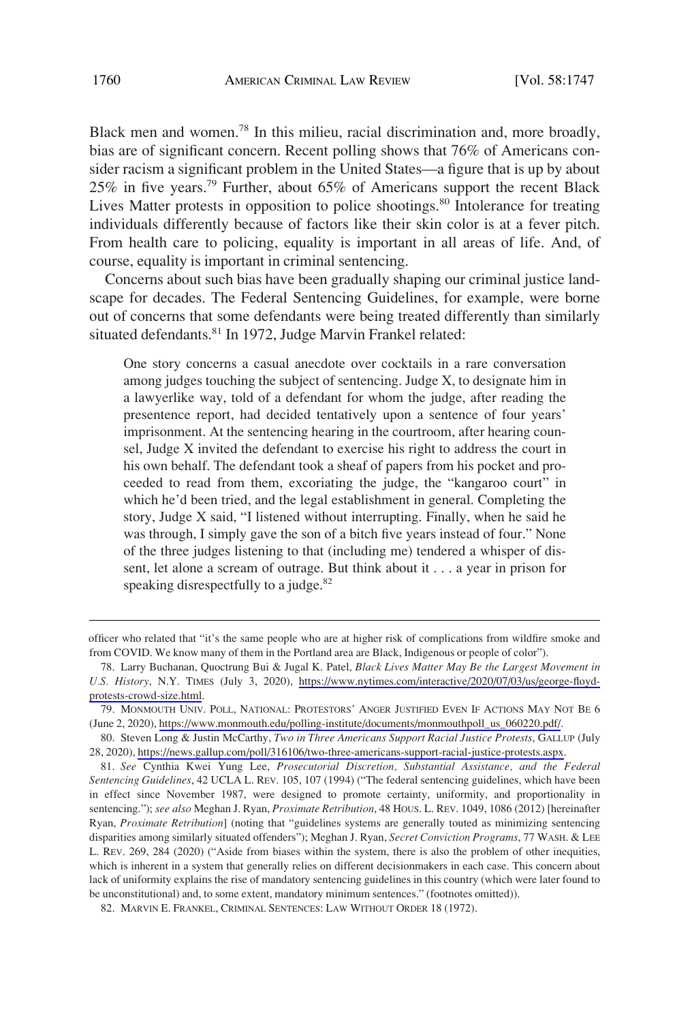Black men and women.<sup>78</sup> In this milieu, racial discrimination and, more broadly, bias are of significant concern. Recent polling shows that 76% of Americans consider racism a significant problem in the United States—a figure that is up by about 25% in five years.79 Further, about 65% of Americans support the recent Black Lives Matter protests in opposition to police shootings.<sup>80</sup> Intolerance for treating individuals differently because of factors like their skin color is at a fever pitch. From health care to policing, equality is important in all areas of life. And, of course, equality is important in criminal sentencing.

Concerns about such bias have been gradually shaping our criminal justice landscape for decades. The Federal Sentencing Guidelines, for example, were borne out of concerns that some defendants were being treated differently than similarly situated defendants.<sup>81</sup> In 1972, Judge Marvin Frankel related:

One story concerns a casual anecdote over cocktails in a rare conversation among judges touching the subject of sentencing. Judge X, to designate him in a lawyerlike way, told of a defendant for whom the judge, after reading the presentence report, had decided tentatively upon a sentence of four years' imprisonment. At the sentencing hearing in the courtroom, after hearing counsel, Judge X invited the defendant to exercise his right to address the court in his own behalf. The defendant took a sheaf of papers from his pocket and proceeded to read from them, excoriating the judge, the "kangaroo court" in which he'd been tried, and the legal establishment in general. Completing the story, Judge X said, "I listened without interrupting. Finally, when he said he was through, I simply gave the son of a bitch five years instead of four." None of the three judges listening to that (including me) tendered a whisper of dissent, let alone a scream of outrage. But think about it . . . a year in prison for speaking disrespectfully to a judge. $82$ 

officer who related that "it's the same people who are at higher risk of complications from wildfire smoke and from COVID. We know many of them in the Portland area are Black, Indigenous or people of color").

Larry Buchanan, Quoctrung Bui & Jugal K. Patel, *Black Lives Matter May Be the Largest Movement in*  78. *U.S. History*, N.Y. TIMES (July 3, 2020), [https://www.nytimes.com/interactive/2020/07/03/us/george-floyd](https://www.nytimes.com/interactive/2020/07/03/us/george-floyd-protests-crowd-size.html)[protests-crowd-size.html](https://www.nytimes.com/interactive/2020/07/03/us/george-floyd-protests-crowd-size.html).

<sup>79.</sup> MONMOUTH UNIV. POLL, NATIONAL: PROTESTORS' ANGER JUSTIFIED EVEN IF ACTIONS MAY NOT BE 6 (June 2, 2020), [https://www.monmouth.edu/polling-institute/documents/monmouthpoll\\_us\\_060220.pdf/](https://www.monmouth.edu/polling-institute/documents/monmouthpoll_us_060220.pdf/).

Steven Long & Justin McCarthy, *Two in Three Americans Support Racial Justice Protests*, GALLUP (July 80. 28, 2020),<https://news.gallup.com/poll/316106/two-three-americans-support-racial-justice-protests.aspx>.

<sup>81.</sup> *See* Cynthia Kwei Yung Lee, *Prosecutorial Discretion, Substantial Assistance, and the Federal Sentencing Guidelines*, 42 UCLA L. REV. 105, 107 (1994) ("The federal sentencing guidelines, which have been in effect since November 1987, were designed to promote certainty, uniformity, and proportionality in sentencing."); *see also* Meghan J. Ryan, *Proximate Retribution*, 48 HOUS. L. REV. 1049, 1086 (2012) [hereinafter Ryan, *Proximate Retribution*] (noting that "guidelines systems are generally touted as minimizing sentencing disparities among similarly situated offenders"); Meghan J. Ryan, *Secret Conviction Programs*, 77 WASH. & LEE L. REV. 269, 284 (2020) ("Aside from biases within the system, there is also the problem of other inequities, which is inherent in a system that generally relies on different decisionmakers in each case. This concern about lack of uniformity explains the rise of mandatory sentencing guidelines in this country (which were later found to be unconstitutional) and, to some extent, mandatory minimum sentences." (footnotes omitted)).

<sup>82.</sup> MARVIN E. FRANKEL, CRIMINAL SENTENCES: LAW WITHOUT ORDER 18 (1972).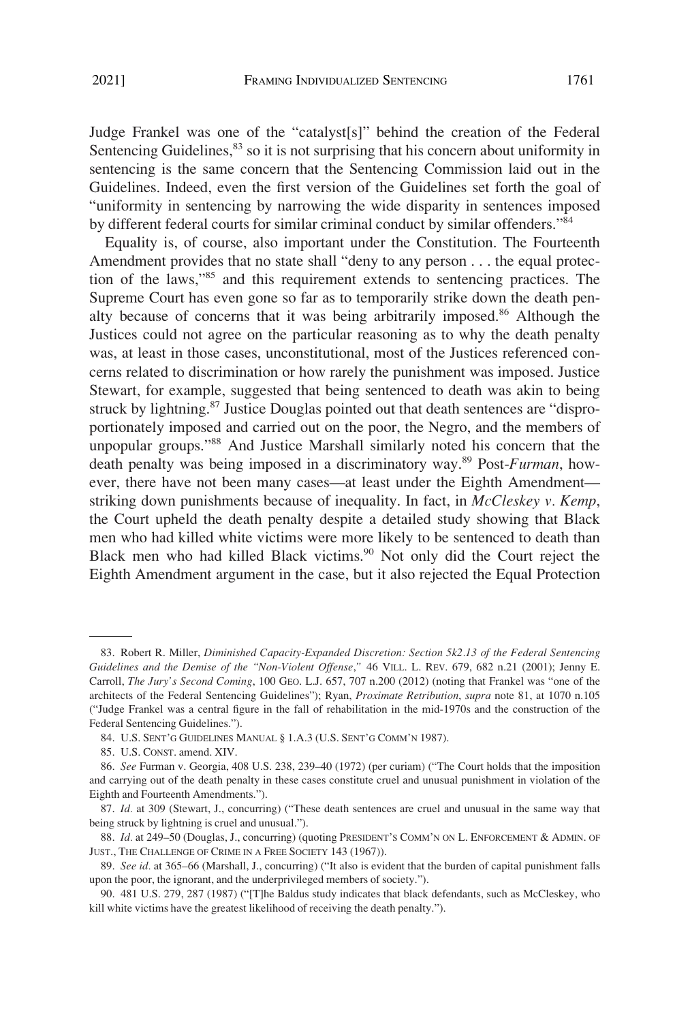Judge Frankel was one of the "catalyst[s]" behind the creation of the Federal Sentencing Guidelines, <sup>83</sup> so it is not surprising that his concern about uniformity in sentencing is the same concern that the Sentencing Commission laid out in the Guidelines. Indeed, even the first version of the Guidelines set forth the goal of "uniformity in sentencing by narrowing the wide disparity in sentences imposed by different federal courts for similar criminal conduct by similar offenders."<sup>84</sup>

Equality is, of course, also important under the Constitution. The Fourteenth Amendment provides that no state shall "deny to any person . . . the equal protection of the laws,"85 and this requirement extends to sentencing practices. The Supreme Court has even gone so far as to temporarily strike down the death penalty because of concerns that it was being arbitrarily imposed.<sup>86</sup> Although the Justices could not agree on the particular reasoning as to why the death penalty was, at least in those cases, unconstitutional, most of the Justices referenced concerns related to discrimination or how rarely the punishment was imposed. Justice Stewart, for example, suggested that being sentenced to death was akin to being struck by lightning.<sup>87</sup> Justice Douglas pointed out that death sentences are "disproportionately imposed and carried out on the poor, the Negro, and the members of unpopular groups."88 And Justice Marshall similarly noted his concern that the death penalty was being imposed in a discriminatory way.89 Post-*Furman*, however, there have not been many cases—at least under the Eighth Amendment striking down punishments because of inequality. In fact, in *McCleskey v. Kemp*, the Court upheld the death penalty despite a detailed study showing that Black men who had killed white victims were more likely to be sentenced to death than Black men who had killed Black victims.<sup>90</sup> Not only did the Court reject the Eighth Amendment argument in the case, but it also rejected the Equal Protection

<sup>83.</sup> Robert R. Miller, *Diminished Capacity-Expanded Discretion: Section 5k2.13 of the Federal Sentencing Guidelines and the Demise of the "Non-Violent Offense*,*"* 46 VILL. L. REV. 679, 682 n.21 (2001); Jenny E. Carroll, *The Jury's Second Coming*, 100 GEO. L.J. 657, 707 n.200 (2012) (noting that Frankel was "one of the architects of the Federal Sentencing Guidelines"); Ryan, *Proximate Retribution*, *supra* note 81, at 1070 n.105 ("Judge Frankel was a central figure in the fall of rehabilitation in the mid-1970s and the construction of the Federal Sentencing Guidelines.").

<sup>84.</sup> U.S. SENT'G GUIDELINES MANUAL § 1.A.3 (U.S. SENT'G COMM'N 1987).

<sup>85.</sup> U.S. CONST. amend. XIV.

<sup>86.</sup> *See* Furman v. Georgia, 408 U.S. 238, 239–40 (1972) (per curiam) ("The Court holds that the imposition and carrying out of the death penalty in these cases constitute cruel and unusual punishment in violation of the Eighth and Fourteenth Amendments.").

<sup>87.</sup> *Id.* at 309 (Stewart, J., concurring) ("These death sentences are cruel and unusual in the same way that being struck by lightning is cruel and unusual.").

<sup>88.</sup> *Id.* at 249–50 (Douglas, J., concurring) (quoting PRESIDENT'S COMM'N ON L. ENFORCEMENT & ADMIN. OF JUST., THE CHALLENGE OF CRIME IN A FREE SOCIETY 143 (1967)).

<sup>89.</sup> *See id.* at 365–66 (Marshall, J., concurring) ("It also is evident that the burden of capital punishment falls upon the poor, the ignorant, and the underprivileged members of society.").

<sup>90. 481</sup> U.S. 279, 287 (1987) ("[T]he Baldus study indicates that black defendants, such as McCleskey, who kill white victims have the greatest likelihood of receiving the death penalty.").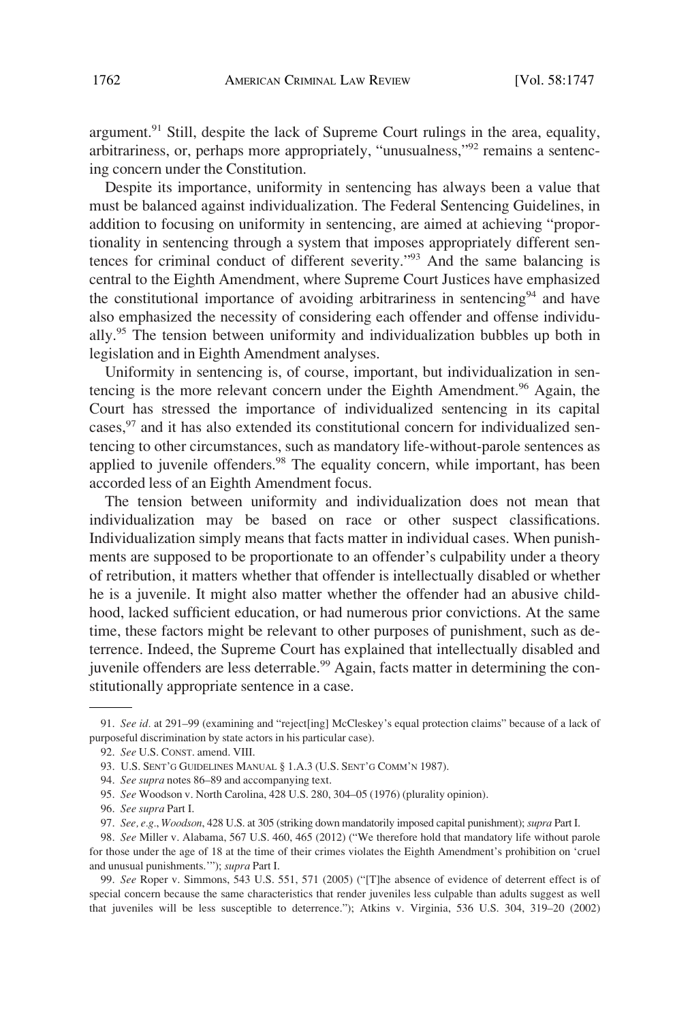argument.<sup>91</sup> Still, despite the lack of Supreme Court rulings in the area, equality, arbitrariness, or, perhaps more appropriately, "unusualness,"92 remains a sentencing concern under the Constitution.

Despite its importance, uniformity in sentencing has always been a value that must be balanced against individualization. The Federal Sentencing Guidelines, in addition to focusing on uniformity in sentencing, are aimed at achieving "proportionality in sentencing through a system that imposes appropriately different sentences for criminal conduct of different severity."93 And the same balancing is central to the Eighth Amendment, where Supreme Court Justices have emphasized the constitutional importance of avoiding arbitrariness in sentencing<sup>94</sup> and have also emphasized the necessity of considering each offender and offense individually.95 The tension between uniformity and individualization bubbles up both in legislation and in Eighth Amendment analyses.

Uniformity in sentencing is, of course, important, but individualization in sentencing is the more relevant concern under the Eighth Amendment.<sup>96</sup> Again, the Court has stressed the importance of individualized sentencing in its capital cases,<sup>97</sup> and it has also extended its constitutional concern for individualized sentencing to other circumstances, such as mandatory life-without-parole sentences as applied to juvenile offenders.<sup>98</sup> The equality concern, while important, has been accorded less of an Eighth Amendment focus.

The tension between uniformity and individualization does not mean that individualization may be based on race or other suspect classifications. Individualization simply means that facts matter in individual cases. When punishments are supposed to be proportionate to an offender's culpability under a theory of retribution, it matters whether that offender is intellectually disabled or whether he is a juvenile. It might also matter whether the offender had an abusive childhood, lacked sufficient education, or had numerous prior convictions. At the same time, these factors might be relevant to other purposes of punishment, such as deterrence. Indeed, the Supreme Court has explained that intellectually disabled and juvenile offenders are less deterrable.<sup>99</sup> Again, facts matter in determining the constitutionally appropriate sentence in a case.

<sup>91.</sup> *See id.* at 291–99 (examining and "reject[ing] McCleskey's equal protection claims" because of a lack of purposeful discrimination by state actors in his particular case).

<sup>92.</sup> *See* U.S. CONST. amend. VIII.

<sup>93.</sup> U.S. SENT'G GUIDELINES MANUAL § 1.A.3 (U.S. SENT'G COMM'N 1987).

<sup>94.</sup> *See supra* notes 86–89 and accompanying text.

<sup>95.</sup> *See* Woodson v. North Carolina, 428 U.S. 280, 304–05 (1976) (plurality opinion).

<sup>96.</sup> *See supra* Part I.

<sup>97.</sup> *See, e.g.*, *Woodson*, 428 U.S. at 305 (striking down mandatorily imposed capital punishment); *supra* Part I.

<sup>98.</sup> *See* Miller v. Alabama, 567 U.S. 460, 465 (2012) ("We therefore hold that mandatory life without parole for those under the age of 18 at the time of their crimes violates the Eighth Amendment's prohibition on 'cruel and unusual punishments.'"); *supra* Part I.

<sup>99.</sup> *See* Roper v. Simmons, 543 U.S. 551, 571 (2005) ("[T]he absence of evidence of deterrent effect is of special concern because the same characteristics that render juveniles less culpable than adults suggest as well that juveniles will be less susceptible to deterrence."); Atkins v. Virginia, 536 U.S. 304, 319–20 (2002)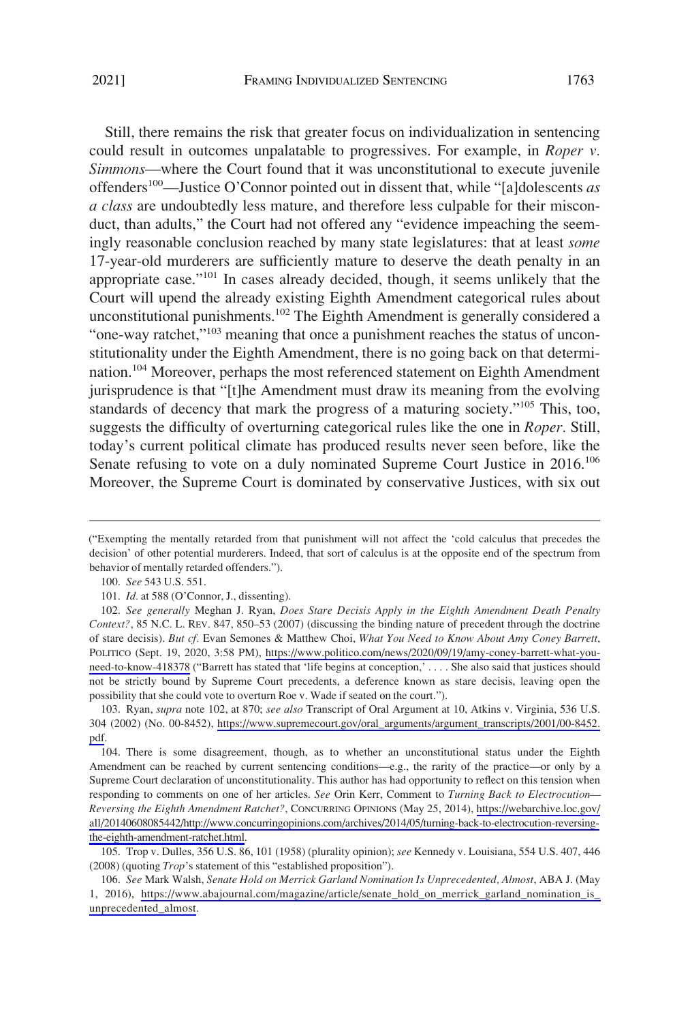Still, there remains the risk that greater focus on individualization in sentencing could result in outcomes unpalatable to progressives. For example, in *Roper v. Simmons*—where the Court found that it was unconstitutional to execute juvenile offenders100—Justice O'Connor pointed out in dissent that, while "[a]dolescents *as a class* are undoubtedly less mature, and therefore less culpable for their misconduct, than adults," the Court had not offered any "evidence impeaching the seemingly reasonable conclusion reached by many state legislatures: that at least *some*  17-year-old murderers are sufficiently mature to deserve the death penalty in an appropriate case."101 In cases already decided, though, it seems unlikely that the Court will upend the already existing Eighth Amendment categorical rules about unconstitutional punishments.<sup>102</sup> The Eighth Amendment is generally considered a "one-way ratchet,"<sup>103</sup> meaning that once a punishment reaches the status of unconstitutionality under the Eighth Amendment, there is no going back on that determination.<sup>104</sup> Moreover, perhaps the most referenced statement on Eighth Amendment jurisprudence is that "[t]he Amendment must draw its meaning from the evolving standards of decency that mark the progress of a maturing society."105 This, too, suggests the difficulty of overturning categorical rules like the one in *Roper*. Still, today's current political climate has produced results never seen before, like the Senate refusing to vote on a duly nominated Supreme Court Justice in 2016.<sup>106</sup> Moreover, the Supreme Court is dominated by conservative Justices, with six out

<sup>(&</sup>quot;Exempting the mentally retarded from that punishment will not affect the 'cold calculus that precedes the decision' of other potential murderers. Indeed, that sort of calculus is at the opposite end of the spectrum from behavior of mentally retarded offenders.").

<sup>100.</sup> *See* 543 U.S. 551.

<sup>101.</sup> *Id.* at 588 (O'Connor, J., dissenting).

*See generally* Meghan J. Ryan, *Does Stare Decisis Apply in the Eighth Amendment Death Penalty*  102. *Context?*, 85 N.C. L. REV. 847, 850–53 (2007) (discussing the binding nature of precedent through the doctrine of stare decisis). *But cf.* Evan Semones & Matthew Choi, *What You Need to Know About Amy Coney Barrett*, POLITICO (Sept. 19, 2020, 3:58 PM), [https://www.politico.com/news/2020/09/19/amy-coney-barrett-what-you](https://www.politico.com/news/2020/09/19/amy-coney-barrett-what-you-need-to-know-418378)[need-to-know-418378](https://www.politico.com/news/2020/09/19/amy-coney-barrett-what-you-need-to-know-418378) ("Barrett has stated that 'life begins at conception,' . . . . She also said that justices should not be strictly bound by Supreme Court precedents, a deference known as stare decisis, leaving open the possibility that she could vote to overturn Roe v. Wade if seated on the court.").

<sup>103.</sup> Ryan, *supra* note 102, at 870; *see also* Transcript of Oral Argument at 10, Atkins v. Virginia, 536 U.S. 304 (2002) (No. 00-8452), [https://www.supremecourt.gov/oral\\_arguments/argument\\_transcripts/2001/00-8452.](https://www.supremecourt.gov/oral_arguments/argument_transcripts/2001/00-8452.pdf)  [pdf.](https://www.supremecourt.gov/oral_arguments/argument_transcripts/2001/00-8452.pdf)

<sup>104.</sup> There is some disagreement, though, as to whether an unconstitutional status under the Eighth Amendment can be reached by current sentencing conditions—e.g., the rarity of the practice—or only by a Supreme Court declaration of unconstitutionality. This author has had opportunity to reflect on this tension when responding to comments on one of her articles. *See* Orin Kerr, Comment to *Turning Back to Electrocution— Reversing the Eighth Amendment Ratchet?*, CONCURRING OPINIONS (May 25, 2014), [https://webarchive.loc.gov/](https://webarchive.loc.gov/all/20140608085442/http://www.concurringopinions.com/archives/2014/05/turning-back-to-electrocution-reversing-the-eighth-amendment-ratchet.html) [all/20140608085442/http://www.concurringopinions.com/archives/2014/05/turning-back-to-electrocution-reversing](https://webarchive.loc.gov/all/20140608085442/http://www.concurringopinions.com/archives/2014/05/turning-back-to-electrocution-reversing-the-eighth-amendment-ratchet.html)[the-eighth-amendment-ratchet.html](https://webarchive.loc.gov/all/20140608085442/http://www.concurringopinions.com/archives/2014/05/turning-back-to-electrocution-reversing-the-eighth-amendment-ratchet.html).

<sup>105.</sup> Trop v. Dulles, 356 U.S. 86, 101 (1958) (plurality opinion); *see* Kennedy v. Louisiana, 554 U.S. 407, 446 (2008) (quoting *Trop*'s statement of this "established proposition").

*See* Mark Walsh, *Senate Hold on Merrick Garland Nomination Is Unprecedented, Almost*, ABA J. (May 106. 1, 2016), [https://www.abajournal.com/magazine/article/senate\\_hold\\_on\\_merrick\\_garland\\_nomination\\_is\\_](https://www.abajournal.com/magazine/article/senate_hold_on_merrick_garland_nomination_is_unprecedented_almost) [unprecedented\\_almost](https://www.abajournal.com/magazine/article/senate_hold_on_merrick_garland_nomination_is_unprecedented_almost).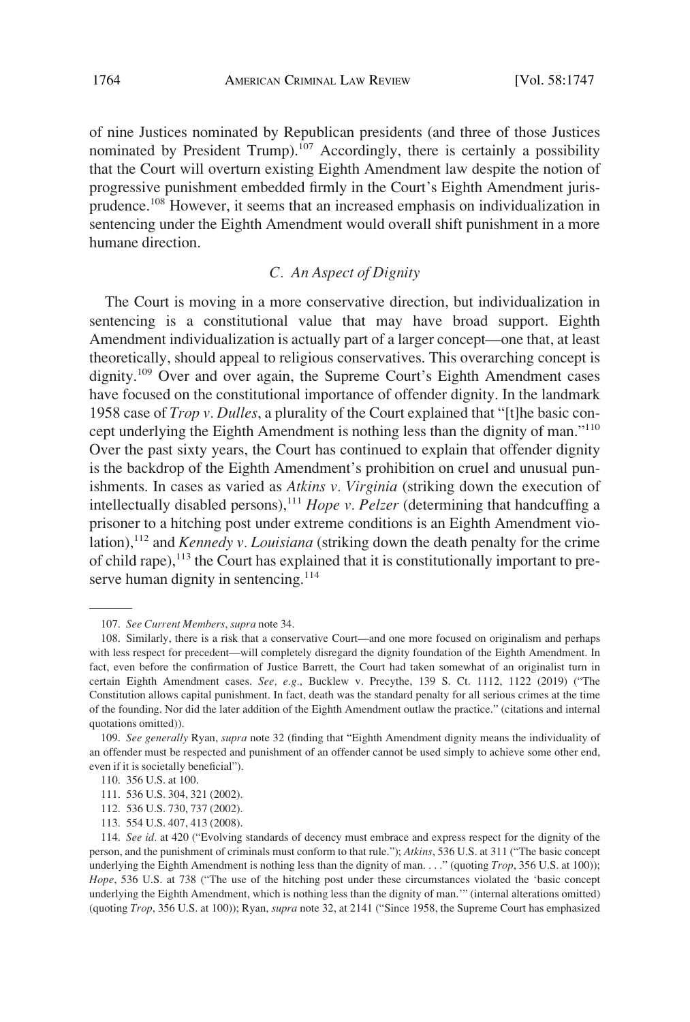<span id="page-17-0"></span>of nine Justices nominated by Republican presidents (and three of those Justices nominated by President Trump).<sup>107</sup> Accordingly, there is certainly a possibility that the Court will overturn existing Eighth Amendment law despite the notion of progressive punishment embedded firmly in the Court's Eighth Amendment jurisprudence.108 However, it seems that an increased emphasis on individualization in sentencing under the Eighth Amendment would overall shift punishment in a more humane direction.

## *C. An Aspect of Dignity*

The Court is moving in a more conservative direction, but individualization in sentencing is a constitutional value that may have broad support. Eighth Amendment individualization is actually part of a larger concept—one that, at least theoretically, should appeal to religious conservatives. This overarching concept is dignity.<sup>109</sup> Over and over again, the Supreme Court's Eighth Amendment cases have focused on the constitutional importance of offender dignity. In the landmark 1958 case of *Trop v. Dulles*, a plurality of the Court explained that "[t]he basic concept underlying the Eighth Amendment is nothing less than the dignity of man."110 Over the past sixty years, the Court has continued to explain that offender dignity is the backdrop of the Eighth Amendment's prohibition on cruel and unusual punishments. In cases as varied as *Atkins v. Virginia* (striking down the execution of intellectually disabled persons),<sup>111</sup> *Hope v. Pelzer* (determining that handcuffing a prisoner to a hitching post under extreme conditions is an Eighth Amendment violation),112 and *Kennedy v. Louisiana* (striking down the death penalty for the crime of child rape),  $^{113}$  the Court has explained that it is constitutionally important to preserve human dignity in sentencing. $114$ 

<sup>107.</sup> *See Current Members*, *supra* note 34.

<sup>108.</sup> Similarly, there is a risk that a conservative Court—and one more focused on originalism and perhaps with less respect for precedent—will completely disregard the dignity foundation of the Eighth Amendment. In fact, even before the confirmation of Justice Barrett, the Court had taken somewhat of an originalist turn in certain Eighth Amendment cases. *See, e.g.*, Bucklew v. Precythe, 139 S. Ct. 1112, 1122 (2019) ("The Constitution allows capital punishment. In fact, death was the standard penalty for all serious crimes at the time of the founding. Nor did the later addition of the Eighth Amendment outlaw the practice." (citations and internal quotations omitted)).

<sup>109.</sup> *See generally* Ryan, *supra* note 32 (finding that "Eighth Amendment dignity means the individuality of an offender must be respected and punishment of an offender cannot be used simply to achieve some other end, even if it is societally beneficial").

<sup>110. 356</sup> U.S. at 100.

<sup>111. 536</sup> U.S. 304, 321 (2002).

<sup>112. 536</sup> U.S. 730, 737 (2002).

<sup>113. 554</sup> U.S. 407, 413 (2008).

<sup>114.</sup> *See id.* at 420 ("Evolving standards of decency must embrace and express respect for the dignity of the person, and the punishment of criminals must conform to that rule."); *Atkins*, 536 U.S. at 311 ("The basic concept underlying the Eighth Amendment is nothing less than the dignity of man. . . ." (quoting *Trop*, 356 U.S. at 100)); *Hope*, 536 U.S. at 738 ("The use of the hitching post under these circumstances violated the 'basic concept underlying the Eighth Amendment, which is nothing less than the dignity of man.'" (internal alterations omitted) (quoting *Trop*, 356 U.S. at 100)); Ryan, *supra* note 32, at 2141 ("Since 1958, the Supreme Court has emphasized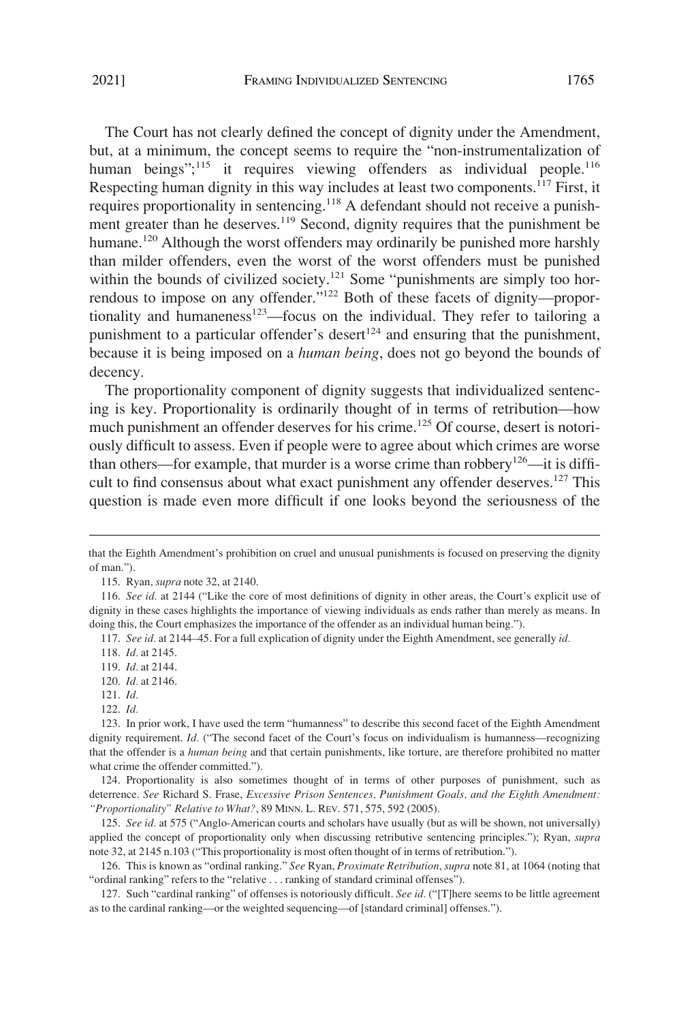but, at a minimum, the concept seems to require the "non-instrumentalization of human beings"; $^{115}$  it requires viewing offenders as individual people.<sup>116</sup> Respecting human dignity in this way includes at least two components.<sup>117</sup> First, it requires proportionality in sentencing.118 A defendant should not receive a punishment greater than he deserves.<sup>119</sup> Second, dignity requires that the punishment be humane.<sup>120</sup> Although the worst offenders may ordinarily be punished more harshly than milder offenders, even the worst of the worst offenders must be punished within the bounds of civilized society.<sup>121</sup> Some "punishments are simply too horrendous to impose on any offender."122 Both of these facets of dignity—proportionality and humaneness<sup>123</sup>—focus on the individual. They refer to tailoring a punishment to a particular offender's desert<sup>124</sup> and ensuring that the punishment, because it is being imposed on a *human being*, does not go beyond the bounds of decency.

The proportionality component of dignity suggests that individualized sentencing is key. Proportionality is ordinarily thought of in terms of retribution—how much punishment an offender deserves for his crime.<sup>125</sup> Of course, desert is notoriously difficult to assess. Even if people were to agree about which crimes are worse than others—for example, that murder is a worse crime than robbery<sup>126</sup>—it is difficult to find consensus about what exact punishment any offender deserves.<sup>127</sup> This question is made even more difficult if one looks beyond the seriousness of the

120. *Id.* at 2146.

124. Proportionality is also sometimes thought of in terms of other purposes of punishment, such as deterrence. *See* Richard S. Frase, *Excessive Prison Sentences, Punishment Goals, and the Eighth Amendment: "Proportionality" Relative to What?*, 89 MINN. L. REV. 571, 575, 592 (2005).

125. *See id.* at 575 ("Anglo-American courts and scholars have usually (but as will be shown, not universally) applied the concept of proportionality only when discussing retributive sentencing principles."); Ryan, *supra*  note 32, at 2145 n.103 ("This proportionality is most often thought of in terms of retribution.").

126. This is known as "ordinal ranking." *See* Ryan, *Proximate Retribution*, *supra* note 81, at 1064 (noting that "ordinal ranking" refers to the "relative . . . ranking of standard criminal offenses").

127. Such "cardinal ranking" of offenses is notoriously difficult. *See id.* ("[T]here seems to be little agreement as to the cardinal ranking—or the weighted sequencing—of [standard criminal] offenses.").

that the Eighth Amendment's prohibition on cruel and unusual punishments is focused on preserving the dignity of man.").

<sup>115.</sup> Ryan, *supra* note 32, at 2140.

<sup>116.</sup> *See id.* at 2144 ("Like the core of most definitions of dignity in other areas, the Court's explicit use of dignity in these cases highlights the importance of viewing individuals as ends rather than merely as means. In doing this, the Court emphasizes the importance of the offender as an individual human being.").

<sup>117.</sup> *See id.* at 2144–45. For a full explication of dignity under the Eighth Amendment, see generally *id.* 

<sup>118.</sup> *Id.* at 2145.

<sup>119.</sup> *Id.* at 2144.

<sup>121.</sup> *Id.* 

<sup>122.</sup> *Id.* 

<sup>123.</sup> In prior work, I have used the term "humanness" to describe this second facet of the Eighth Amendment dignity requirement. *Id.* ("The second facet of the Court's focus on individualism is humanness—recognizing that the offender is a *human being* and that certain punishments, like torture, are therefore prohibited no matter what crime the offender committed.").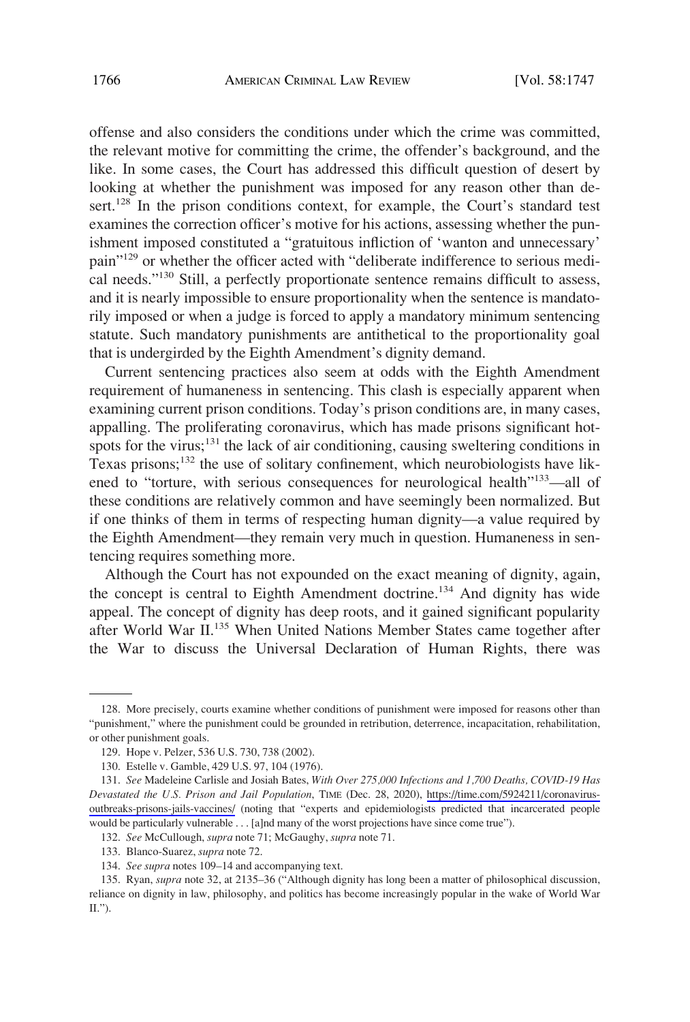offense and also considers the conditions under which the crime was committed, the relevant motive for committing the crime, the offender's background, and the like. In some cases, the Court has addressed this difficult question of desert by looking at whether the punishment was imposed for any reason other than desert.<sup>128</sup> In the prison conditions context, for example, the Court's standard test examines the correction officer's motive for his actions, assessing whether the punishment imposed constituted a "gratuitous infliction of 'wanton and unnecessary' pain"129 or whether the officer acted with "deliberate indifference to serious medical needs."130 Still, a perfectly proportionate sentence remains difficult to assess, and it is nearly impossible to ensure proportionality when the sentence is mandatorily imposed or when a judge is forced to apply a mandatory minimum sentencing statute. Such mandatory punishments are antithetical to the proportionality goal that is undergirded by the Eighth Amendment's dignity demand.

Current sentencing practices also seem at odds with the Eighth Amendment requirement of humaneness in sentencing. This clash is especially apparent when examining current prison conditions. Today's prison conditions are, in many cases, appalling. The proliferating coronavirus, which has made prisons significant hotspots for the virus; $^{131}$  the lack of air conditioning, causing sweltering conditions in Texas prisons;132 the use of solitary confinement, which neurobiologists have likened to "torture, with serious consequences for neurological health"<sup>133</sup>—all of these conditions are relatively common and have seemingly been normalized. But if one thinks of them in terms of respecting human dignity—a value required by the Eighth Amendment—they remain very much in question. Humaneness in sentencing requires something more.

Although the Court has not expounded on the exact meaning of dignity, again, the concept is central to Eighth Amendment doctrine.134 And dignity has wide appeal. The concept of dignity has deep roots, and it gained significant popularity after World War II.135 When United Nations Member States came together after the War to discuss the Universal Declaration of Human Rights, there was

<sup>128.</sup> More precisely, courts examine whether conditions of punishment were imposed for reasons other than "punishment," where the punishment could be grounded in retribution, deterrence, incapacitation, rehabilitation, or other punishment goals.

<sup>129.</sup> Hope v. Pelzer, 536 U.S. 730, 738 (2002).

<sup>130.</sup> Estelle v. Gamble, 429 U.S. 97, 104 (1976).

*See* Madeleine Carlisle and Josiah Bates, *With Over 275,000 Infections and 1,700 Deaths, COVID-19 Has*  131. *Devastated the U.S. Prison and Jail Population*, TIME (Dec. 28, 2020), [https://time.com/5924211/coronavirus](https://time.com/5924211/coronavirus-outbreaks-prisons-jails-vaccines/)[outbreaks-prisons-jails-vaccines/](https://time.com/5924211/coronavirus-outbreaks-prisons-jails-vaccines/) (noting that "experts and epidemiologists predicted that incarcerated people would be particularly vulnerable . . . [a]nd many of the worst projections have since come true").

<sup>132.</sup> *See* McCullough, *supra* note 71; McGaughy, *supra* note 71.

<sup>133.</sup> Blanco-Suarez, *supra* note 72.

<sup>134.</sup> *See supra* notes 109–14 and accompanying text.

<sup>135.</sup> Ryan, *supra* note 32, at 2135–36 ("Although dignity has long been a matter of philosophical discussion, reliance on dignity in law, philosophy, and politics has become increasingly popular in the wake of World War II.").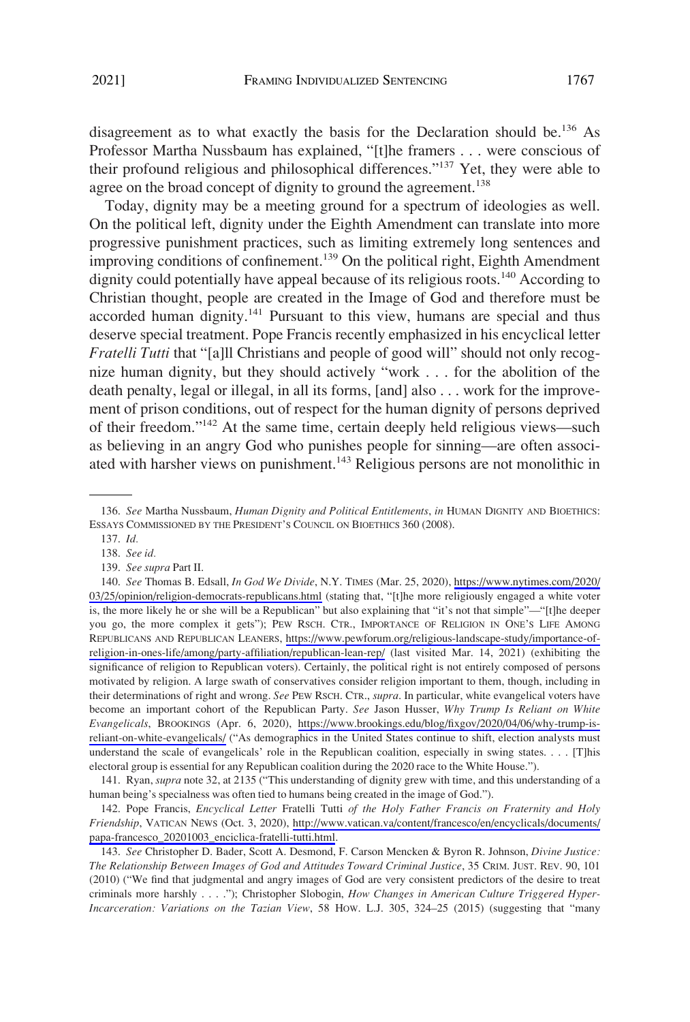disagreement as to what exactly the basis for the Declaration should be.<sup>136</sup> As Professor Martha Nussbaum has explained, "[t]he framers . . . were conscious of their profound religious and philosophical differences."137 Yet, they were able to agree on the broad concept of dignity to ground the agreement.<sup>138</sup>

Today, dignity may be a meeting ground for a spectrum of ideologies as well. On the political left, dignity under the Eighth Amendment can translate into more progressive punishment practices, such as limiting extremely long sentences and improving conditions of confinement.<sup>139</sup> On the political right, Eighth Amendment dignity could potentially have appeal because of its religious roots.<sup>140</sup> According to Christian thought, people are created in the Image of God and therefore must be accorded human dignity. $141$  Pursuant to this view, humans are special and thus deserve special treatment. Pope Francis recently emphasized in his encyclical letter *Fratelli Tutti* that "[a]ll Christians and people of good will" should not only recognize human dignity, but they should actively "work . . . for the abolition of the death penalty, legal or illegal, in all its forms, [and] also . . . work for the improvement of prison conditions, out of respect for the human dignity of persons deprived of their freedom."142 At the same time, certain deeply held religious views—such as believing in an angry God who punishes people for sinning—are often associated with harsher views on punishment.<sup>143</sup> Religious persons are not monolithic in

141. Ryan, *supra* note 32, at 2135 ("This understanding of dignity grew with time, and this understanding of a human being's specialness was often tied to humans being created in the image of God.").

142. Pope Francis, *Encyclical Letter Fratelli Tutti of the Holy Father Francis on Fraternity and Holy Friendship*, VATICAN NEWS (Oct. 3, 2020), [http://www.vatican.va/content/francesco/en/encyclicals/documents/](http://www.vatican.va/content/francesco/en/encyclicals/documents/papa-francesco_20201003_enciclica-fratelli-tutti.html)  [papa-francesco\\_20201003\\_enciclica-fratelli-tutti.html](http://www.vatican.va/content/francesco/en/encyclicals/documents/papa-francesco_20201003_enciclica-fratelli-tutti.html).

143. *See* Christopher D. Bader, Scott A. Desmond, F. Carson Mencken & Byron R. Johnson, *Divine Justice: The Relationship Between Images of God and Attitudes Toward Criminal Justice*, 35 CRIM. JUST. REV. 90, 101 (2010) ("We find that judgmental and angry images of God are very consistent predictors of the desire to treat criminals more harshly . . . ."); Christopher Slobogin, *How Changes in American Culture Triggered Hyper-Incarceration: Variations on the Tazian View*, 58 HOW. L.J. 305, 324–25 (2015) (suggesting that "many

<sup>136.</sup> *See* Martha Nussbaum, *Human Dignity and Political Entitlements*, *in* HUMAN DIGNITY AND BIOETHICS: ESSAYS COMMISSIONED BY THE PRESIDENT'S COUNCIL ON BIOETHICS 360 (2008).

<sup>137.</sup> *Id.* 

<sup>138.</sup> *See id.* 

<sup>139.</sup> *See supra* Part II.

*See* Thomas B. Edsall, *In God We Divide*, N.Y. TIMES (Mar. 25, 2020), [https://www.nytimes.com/2020/](https://www.nytimes.com/2020/03/25/opinion/religion-democrats-republicans.html) 140. [03/25/opinion/religion-democrats-republicans.html](https://www.nytimes.com/2020/03/25/opinion/religion-democrats-republicans.html) (stating that, "[t]he more religiously engaged a white voter is, the more likely he or she will be a Republican" but also explaining that "it's not that simple"—"[t]he deeper you go, the more complex it gets"); PEW RSCH. CTR., IMPORTANCE OF RELIGION IN ONE'S LIFE AMONG REPUBLICANS AND REPUBLICAN LEANERS, [https://www.pewforum.org/religious-landscape-study/importance-of](https://www.pewforum.org/religious-landscape-study/importance-of-religion-in-ones-life/among/party-affiliation/republican-lean-rep/)[religion-in-ones-life/among/party-affiliation/republican-lean-rep/](https://www.pewforum.org/religious-landscape-study/importance-of-religion-in-ones-life/among/party-affiliation/republican-lean-rep/) (last visited Mar. 14, 2021) (exhibiting the significance of religion to Republican voters). Certainly, the political right is not entirely composed of persons motivated by religion. A large swath of conservatives consider religion important to them, though, including in their determinations of right and wrong. *See* PEW RSCH. CTR., *supra*. In particular, white evangelical voters have become an important cohort of the Republican Party. *See* Jason Husser, *Why Trump Is Reliant on White Evangelicals*, BROOKINGS (Apr. 6, 2020), [https://www.brookings.edu/blog/fixgov/2020/04/06/why-trump-is](https://www.brookings.edu/blog/fixgov/2020/04/06/why-trump-is-reliant-on-white-evangelicals/)[reliant-on-white-evangelicals/](https://www.brookings.edu/blog/fixgov/2020/04/06/why-trump-is-reliant-on-white-evangelicals/) ("As demographics in the United States continue to shift, election analysts must understand the scale of evangelicals' role in the Republican coalition, especially in swing states. . . . [T]his electoral group is essential for any Republican coalition during the 2020 race to the White House.").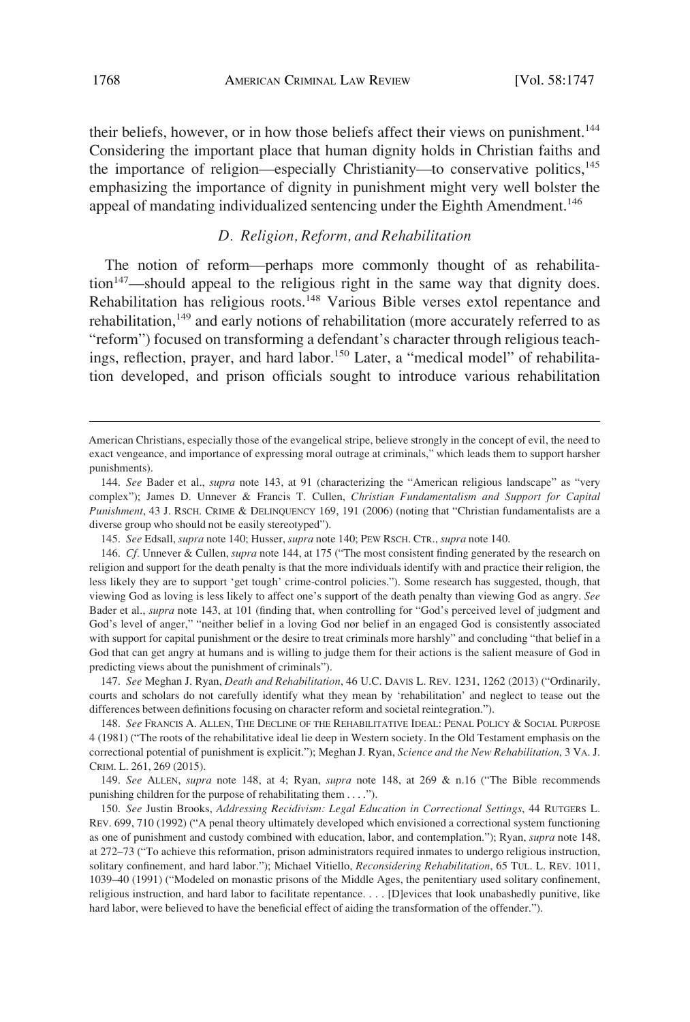<span id="page-21-0"></span>their beliefs, however, or in how those beliefs affect their views on punishment.<sup>144</sup> Considering the important place that human dignity holds in Christian faiths and the importance of religion—especially Christianity—to conservative politics,<sup>145</sup> emphasizing the importance of dignity in punishment might very well bolster the appeal of mandating individualized sentencing under the Eighth Amendment.<sup>146</sup>

#### *D. Religion, Reform, and Rehabilitation*

The notion of reform—perhaps more commonly thought of as rehabilita- $\frac{147}{2}$ –should appeal to the religious right in the same way that dignity does. Rehabilitation has religious roots.<sup>148</sup> Various Bible verses extol repentance and rehabilitation,<sup>149</sup> and early notions of rehabilitation (more accurately referred to as "reform") focused on transforming a defendant's character through religious teachings, reflection, prayer, and hard labor.<sup>150</sup> Later, a "medical model" of rehabilitation developed, and prison officials sought to introduce various rehabilitation

147. *See* Meghan J. Ryan, *Death and Rehabilitation*, 46 U.C. DAVIS L. REV. 1231, 1262 (2013) ("Ordinarily, courts and scholars do not carefully identify what they mean by 'rehabilitation' and neglect to tease out the differences between definitions focusing on character reform and societal reintegration.").

148. *See* FRANCIS A. ALLEN, THE DECLINE OF THE REHABILITATIVE IDEAL: PENAL POLICY & SOCIAL PURPOSE 4 (1981) ("The roots of the rehabilitative ideal lie deep in Western society. In the Old Testament emphasis on the correctional potential of punishment is explicit."); Meghan J. Ryan, *Science and the New Rehabilitation*, 3 VA. J. CRIM. L. 261, 269 (2015).

149. *See* ALLEN, *supra* note 148, at 4; Ryan, *supra* note 148, at 269 & n.16 ("The Bible recommends punishing children for the purpose of rehabilitating them . . . .").

150. *See* Justin Brooks, *Addressing Recidivism: Legal Education in Correctional Settings*, 44 RUTGERS L. REV. 699, 710 (1992) ("A penal theory ultimately developed which envisioned a correctional system functioning as one of punishment and custody combined with education, labor, and contemplation."); Ryan, *supra* note 148, at 272–73 ("To achieve this reformation, prison administrators required inmates to undergo religious instruction, solitary confinement, and hard labor."); Michael Vitiello, *Reconsidering Rehabilitation*, 65 TUL. L. REV. 1011, 1039–40 (1991) ("Modeled on monastic prisons of the Middle Ages, the penitentiary used solitary confinement, religious instruction, and hard labor to facilitate repentance. . . . [D]evices that look unabashedly punitive, like hard labor, were believed to have the beneficial effect of aiding the transformation of the offender.").

American Christians, especially those of the evangelical stripe, believe strongly in the concept of evil, the need to exact vengeance, and importance of expressing moral outrage at criminals," which leads them to support harsher punishments).

<sup>144.</sup> *See* Bader et al., *supra* note 143, at 91 (characterizing the "American religious landscape" as "very complex"); James D. Unnever & Francis T. Cullen, *Christian Fundamentalism and Support for Capital Punishment*, 43 J. RSCH. CRIME & DELINQUENCY 169, 191 (2006) (noting that "Christian fundamentalists are a diverse group who should not be easily stereotyped").

<sup>145.</sup> *See* Edsall, *supra* note 140; Husser, *supra* note 140; PEW RSCH. CTR., *supra* note 140.

<sup>146.</sup> *Cf.* Unnever & Cullen, *supra* note 144, at 175 ("The most consistent finding generated by the research on religion and support for the death penalty is that the more individuals identify with and practice their religion, the less likely they are to support 'get tough' crime-control policies."). Some research has suggested, though, that viewing God as loving is less likely to affect one's support of the death penalty than viewing God as angry. *See*  Bader et al., *supra* note 143, at 101 (finding that, when controlling for "God's perceived level of judgment and God's level of anger," "neither belief in a loving God nor belief in an engaged God is consistently associated with support for capital punishment or the desire to treat criminals more harshly" and concluding "that belief in a God that can get angry at humans and is willing to judge them for their actions is the salient measure of God in predicting views about the punishment of criminals").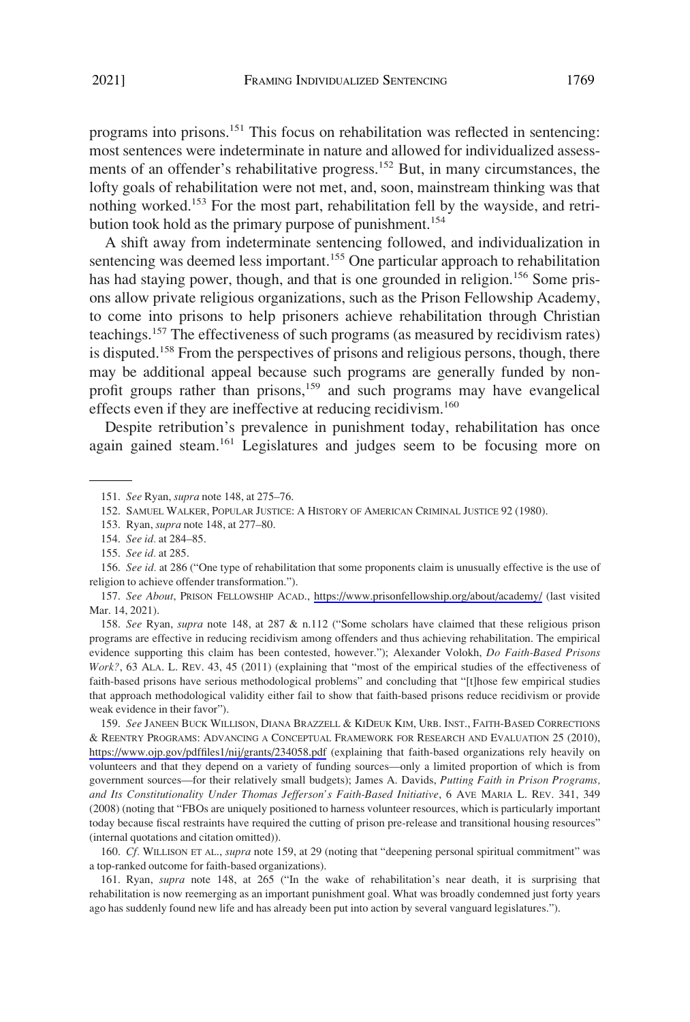programs into prisons.<sup>151</sup> This focus on rehabilitation was reflected in sentencing: most sentences were indeterminate in nature and allowed for individualized assessments of an offender's rehabilitative progress.<sup>152</sup> But, in many circumstances, the lofty goals of rehabilitation were not met, and, soon, mainstream thinking was that nothing worked.153 For the most part, rehabilitation fell by the wayside, and retribution took hold as the primary purpose of punishment.<sup>154</sup>

A shift away from indeterminate sentencing followed, and individualization in sentencing was deemed less important.<sup>155</sup> One particular approach to rehabilitation has had staying power, though, and that is one grounded in religion.<sup>156</sup> Some prisons allow private religious organizations, such as the Prison Fellowship Academy, to come into prisons to help prisoners achieve rehabilitation through Christian teachings.<sup>157</sup> The effectiveness of such programs (as measured by recidivism rates) is disputed.<sup>158</sup> From the perspectives of prisons and religious persons, though, there may be additional appeal because such programs are generally funded by nonprofit groups rather than prisons,<sup>159</sup> and such programs may have evangelical effects even if they are ineffective at reducing recidivism.<sup>160</sup>

Despite retribution's prevalence in punishment today, rehabilitation has once again gained steam.<sup>161</sup> Legislatures and judges seem to be focusing more on

- 154. *See id.* at 284–85.
- 155. *See id.* at 285.

158. *See* Ryan, *supra* note 148, at 287 & n.112 ("Some scholars have claimed that these religious prison programs are effective in reducing recidivism among offenders and thus achieving rehabilitation. The empirical evidence supporting this claim has been contested, however."); Alexander Volokh, *Do Faith-Based Prisons Work?*, 63 ALA. L. REV. 43, 45 (2011) (explaining that "most of the empirical studies of the effectiveness of faith-based prisons have serious methodological problems" and concluding that "[t]hose few empirical studies that approach methodological validity either fail to show that faith-based prisons reduce recidivism or provide weak evidence in their favor").

159. See JANEEN BUCK WILLISON, DIANA BRAZZELL & KIDEUK KIM, URB. INST., FAITH-BASED CORRECTIONS & REENTRY PROGRAMS: ADVANCING A CONCEPTUAL FRAMEWORK FOR RESEARCH AND EVALUATION 25 (2010), <https://www.ojp.gov/pdffiles1/nij/grants/234058.pdf> (explaining that faith-based organizations rely heavily on volunteers and that they depend on a variety of funding sources—only a limited proportion of which is from government sources—for their relatively small budgets); James A. Davids, *Putting Faith in Prison Programs, and Its Constitutionality Under Thomas Jefferson's Faith-Based Initiative*, 6 AVE MARIA L. REV. 341, 349 (2008) (noting that "FBOs are uniquely positioned to harness volunteer resources, which is particularly important today because fiscal restraints have required the cutting of prison pre-release and transitional housing resources" (internal quotations and citation omitted)).

160. *Cf.* WILLISON ET AL., *supra* note 159, at 29 (noting that "deepening personal spiritual commitment" was a top-ranked outcome for faith-based organizations).

161. Ryan, *supra* note 148, at 265 ("In the wake of rehabilitation's near death, it is surprising that rehabilitation is now reemerging as an important punishment goal. What was broadly condemned just forty years ago has suddenly found new life and has already been put into action by several vanguard legislatures.").

<sup>151.</sup> *See* Ryan, *supra* note 148, at 275–76.

<sup>152.</sup> SAMUEL WALKER, POPULAR JUSTICE: A HISTORY OF AMERICAN CRIMINAL JUSTICE 92 (1980).

<sup>153.</sup> Ryan, *supra* note 148, at 277–80.

<sup>156.</sup> *See id.* at 286 ("One type of rehabilitation that some proponents claim is unusually effective is the use of religion to achieve offender transformation.").

<sup>157.</sup> See About, PRISON FELLOWSHIP ACAD., <https://www.prisonfellowship.org/about/academy/> (last visited Mar. 14, 2021).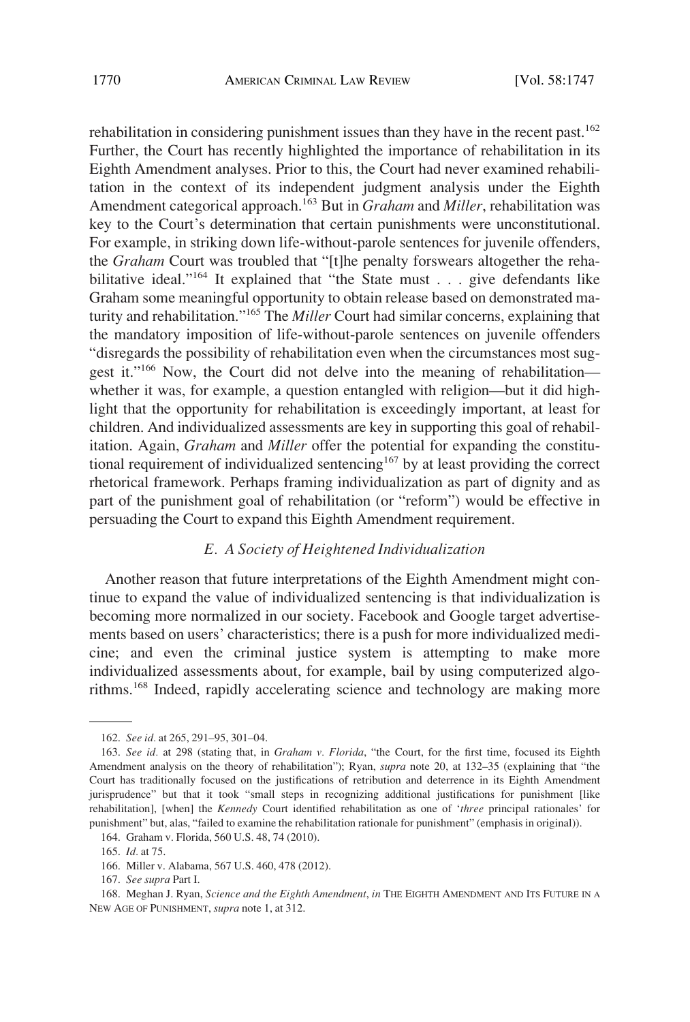<span id="page-23-0"></span>rehabilitation in considering punishment issues than they have in the recent past.<sup>162</sup> Further, the Court has recently highlighted the importance of rehabilitation in its Eighth Amendment analyses. Prior to this, the Court had never examined rehabilitation in the context of its independent judgment analysis under the Eighth Amendment categorical approach.<sup>163</sup> But in *Graham* and *Miller*, rehabilitation was key to the Court's determination that certain punishments were unconstitutional. For example, in striking down life-without-parole sentences for juvenile offenders, the *Graham* Court was troubled that "[t]he penalty forswears altogether the rehabilitative ideal."<sup>164</sup> It explained that "the State must . . . give defendants like Graham some meaningful opportunity to obtain release based on demonstrated maturity and rehabilitation."165 The *Miller* Court had similar concerns, explaining that the mandatory imposition of life-without-parole sentences on juvenile offenders "disregards the possibility of rehabilitation even when the circumstances most suggest it."<sup>166</sup> Now, the Court did not delve into the meaning of rehabilitation whether it was, for example, a question entangled with religion—but it did highlight that the opportunity for rehabilitation is exceedingly important, at least for children. And individualized assessments are key in supporting this goal of rehabilitation. Again, *Graham* and *Miller* offer the potential for expanding the constitutional requirement of individualized sentencing<sup>167</sup> by at least providing the correct rhetorical framework. Perhaps framing individualization as part of dignity and as part of the punishment goal of rehabilitation (or "reform") would be effective in persuading the Court to expand this Eighth Amendment requirement.

### *E. A Society of Heightened Individualization*

Another reason that future interpretations of the Eighth Amendment might continue to expand the value of individualized sentencing is that individualization is becoming more normalized in our society. Facebook and Google target advertisements based on users' characteristics; there is a push for more individualized medicine; and even the criminal justice system is attempting to make more individualized assessments about, for example, bail by using computerized algorithms.168 Indeed, rapidly accelerating science and technology are making more

<sup>162.</sup> *See id.* at 265, 291–95, 301–04.

<sup>163.</sup> *See id.* at 298 (stating that, in *Graham v. Florida*, "the Court, for the first time, focused its Eighth Amendment analysis on the theory of rehabilitation"); Ryan, *supra* note 20, at 132–35 (explaining that "the Court has traditionally focused on the justifications of retribution and deterrence in its Eighth Amendment jurisprudence" but that it took "small steps in recognizing additional justifications for punishment [like rehabilitation], [when] the *Kennedy* Court identified rehabilitation as one of '*three* principal rationales' for punishment" but, alas, "failed to examine the rehabilitation rationale for punishment" (emphasis in original)).

<sup>164.</sup> Graham v. Florida, 560 U.S. 48, 74 (2010).

<sup>165.</sup> *Id.* at 75.

<sup>166.</sup> Miller v. Alabama, 567 U.S. 460, 478 (2012).

<sup>167.</sup> *See supra* Part I.

<sup>168.</sup> Meghan J. Ryan, *Science and the Eighth Amendment*, *in* THE EIGHTH AMENDMENT AND ITS FUTURE IN A NEW AGE OF PUNISHMENT, *supra* note 1, at 312.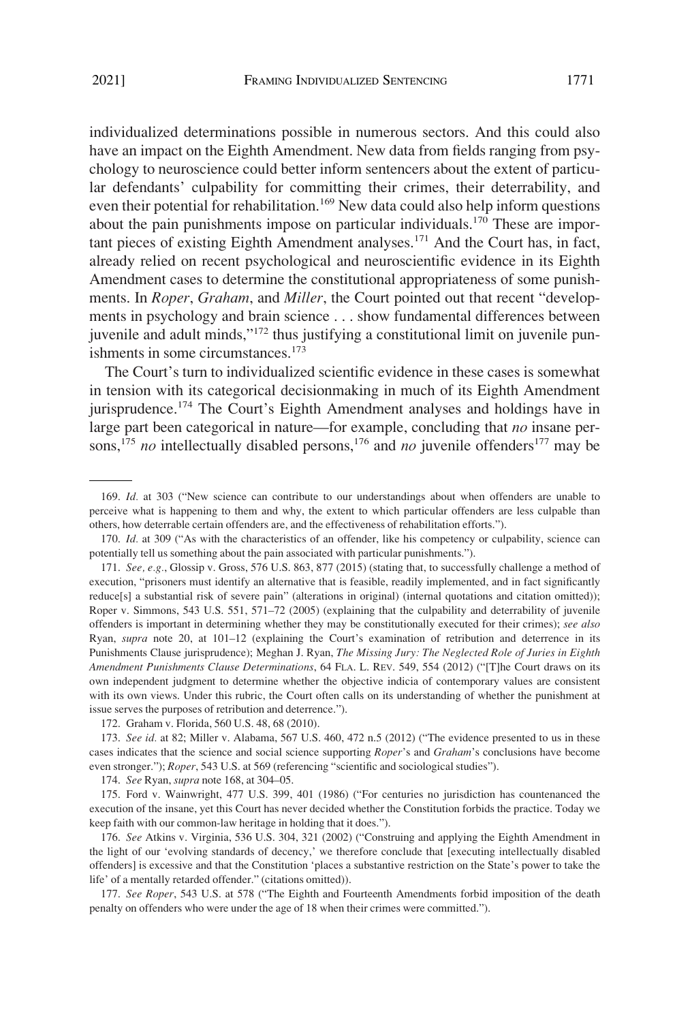individualized determinations possible in numerous sectors. And this could also have an impact on the Eighth Amendment. New data from fields ranging from psychology to neuroscience could better inform sentencers about the extent of particular defendants' culpability for committing their crimes, their deterrability, and even their potential for rehabilitation.<sup>169</sup> New data could also help inform questions about the pain punishments impose on particular individuals.<sup>170</sup> These are important pieces of existing Eighth Amendment analyses.<sup>171</sup> And the Court has, in fact, already relied on recent psychological and neuroscientific evidence in its Eighth Amendment cases to determine the constitutional appropriateness of some punishments. In *Roper*, *Graham*, and *Miller*, the Court pointed out that recent "developments in psychology and brain science . . . show fundamental differences between juvenile and adult minds,"<sup>172</sup> thus justifying a constitutional limit on juvenile punishments in some circumstances.<sup>173</sup>

The Court's turn to individualized scientific evidence in these cases is somewhat in tension with its categorical decisionmaking in much of its Eighth Amendment jurisprudence.<sup>174</sup> The Court's Eighth Amendment analyses and holdings have in large part been categorical in nature—for example, concluding that *no* insane persons,<sup>175</sup> *no* intellectually disabled persons,<sup>176</sup> and *no* juvenile offenders<sup>177</sup> may be

174. *See* Ryan, *supra* note 168, at 304–05.

175. Ford v. Wainwright, 477 U.S. 399, 401 (1986) ("For centuries no jurisdiction has countenanced the execution of the insane, yet this Court has never decided whether the Constitution forbids the practice. Today we keep faith with our common-law heritage in holding that it does.").

176. *See* Atkins v. Virginia, 536 U.S. 304, 321 (2002) ("Construing and applying the Eighth Amendment in the light of our 'evolving standards of decency,' we therefore conclude that [executing intellectually disabled offenders] is excessive and that the Constitution 'places a substantive restriction on the State's power to take the life' of a mentally retarded offender." (citations omitted)).

177. *See Roper*, 543 U.S. at 578 ("The Eighth and Fourteenth Amendments forbid imposition of the death penalty on offenders who were under the age of 18 when their crimes were committed.").

<sup>169.</sup> *Id.* at 303 ("New science can contribute to our understandings about when offenders are unable to perceive what is happening to them and why, the extent to which particular offenders are less culpable than others, how deterrable certain offenders are, and the effectiveness of rehabilitation efforts.").

<sup>170.</sup> *Id.* at 309 ("As with the characteristics of an offender, like his competency or culpability, science can potentially tell us something about the pain associated with particular punishments.").

<sup>171.</sup> *See, e.g.*, Glossip v. Gross, 576 U.S. 863, 877 (2015) (stating that, to successfully challenge a method of execution, "prisoners must identify an alternative that is feasible, readily implemented, and in fact significantly reduce[s] a substantial risk of severe pain" (alterations in original) (internal quotations and citation omitted)); Roper v. Simmons, 543 U.S. 551, 571–72 (2005) (explaining that the culpability and deterrability of juvenile offenders is important in determining whether they may be constitutionally executed for their crimes); *see also*  Ryan, *supra* note 20, at 101–12 (explaining the Court's examination of retribution and deterrence in its Punishments Clause jurisprudence); Meghan J. Ryan, *The Missing Jury: The Neglected Role of Juries in Eighth Amendment Punishments Clause Determinations*, 64 FLA. L. REV. 549, 554 (2012) ("[T]he Court draws on its own independent judgment to determine whether the objective indicia of contemporary values are consistent with its own views. Under this rubric, the Court often calls on its understanding of whether the punishment at issue serves the purposes of retribution and deterrence.").

<sup>172.</sup> Graham v. Florida, 560 U.S. 48, 68 (2010).

<sup>173.</sup> *See id.* at 82; Miller v. Alabama, 567 U.S. 460, 472 n.5 (2012) ("The evidence presented to us in these cases indicates that the science and social science supporting *Roper*'s and *Graham*'s conclusions have become even stronger."); *Roper*, 543 U.S. at 569 (referencing "scientific and sociological studies").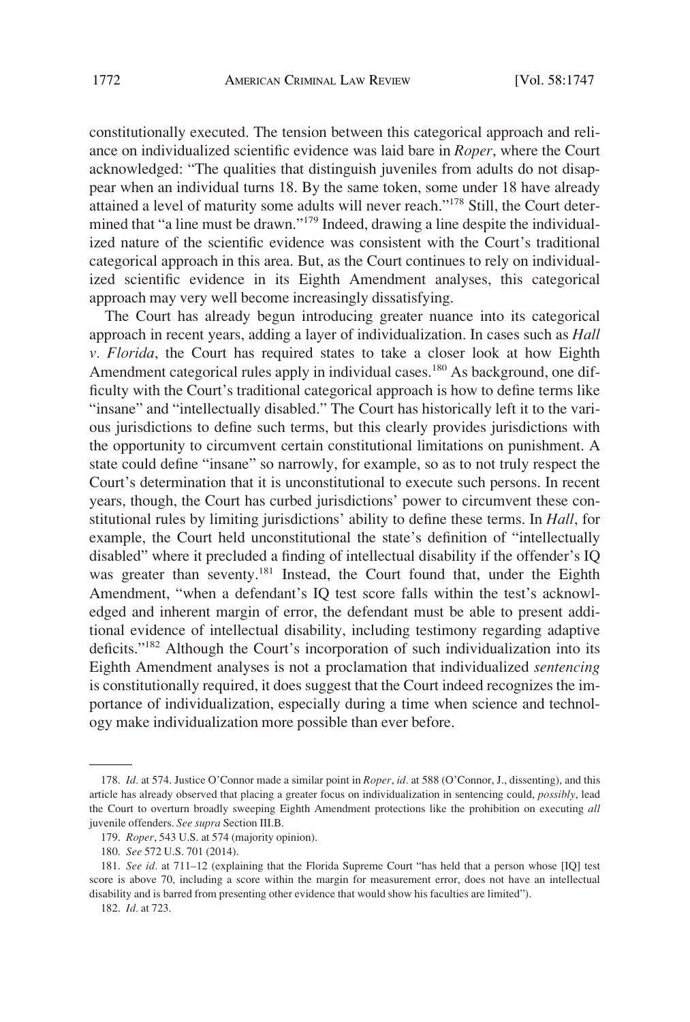constitutionally executed. The tension between this categorical approach and reliance on individualized scientific evidence was laid bare in *Roper*, where the Court acknowledged: "The qualities that distinguish juveniles from adults do not disappear when an individual turns 18. By the same token, some under 18 have already attained a level of maturity some adults will never reach."<sup>178</sup> Still, the Court determined that "a line must be drawn."<sup>179</sup> Indeed, drawing a line despite the individualized nature of the scientific evidence was consistent with the Court's traditional categorical approach in this area. But, as the Court continues to rely on individualized scientific evidence in its Eighth Amendment analyses, this categorical approach may very well become increasingly dissatisfying.

The Court has already begun introducing greater nuance into its categorical approach in recent years, adding a layer of individualization. In cases such as *Hall v. Florida*, the Court has required states to take a closer look at how Eighth Amendment categorical rules apply in individual cases.<sup>180</sup> As background, one difficulty with the Court's traditional categorical approach is how to define terms like "insane" and "intellectually disabled." The Court has historically left it to the various jurisdictions to define such terms, but this clearly provides jurisdictions with the opportunity to circumvent certain constitutional limitations on punishment. A state could define "insane" so narrowly, for example, so as to not truly respect the Court's determination that it is unconstitutional to execute such persons. In recent years, though, the Court has curbed jurisdictions' power to circumvent these constitutional rules by limiting jurisdictions' ability to define these terms. In *Hall*, for example, the Court held unconstitutional the state's definition of "intellectually disabled" where it precluded a finding of intellectual disability if the offender's IQ was greater than seventy.<sup>181</sup> Instead, the Court found that, under the Eighth Amendment, "when a defendant's IQ test score falls within the test's acknowledged and inherent margin of error, the defendant must be able to present additional evidence of intellectual disability, including testimony regarding adaptive deficits."182 Although the Court's incorporation of such individualization into its Eighth Amendment analyses is not a proclamation that individualized *sentencing*  is constitutionally required, it does suggest that the Court indeed recognizes the importance of individualization, especially during a time when science and technology make individualization more possible than ever before.

<sup>178.</sup> *Id.* at 574. Justice O'Connor made a similar point in *Roper*, *id.* at 588 (O'Connor, J., dissenting), and this article has already observed that placing a greater focus on individualization in sentencing could, *possibly*, lead the Court to overturn broadly sweeping Eighth Amendment protections like the prohibition on executing *all*  juvenile offenders. *See supra* Section III.B.

<sup>179.</sup> *Roper*, 543 U.S. at 574 (majority opinion).

<sup>180.</sup> *See* 572 U.S. 701 (2014).

<sup>181.</sup> *See id.* at 711–12 (explaining that the Florida Supreme Court "has held that a person whose [IQ] test score is above 70, including a score within the margin for measurement error, does not have an intellectual disability and is barred from presenting other evidence that would show his faculties are limited").

<sup>182.</sup> *Id.* at 723.